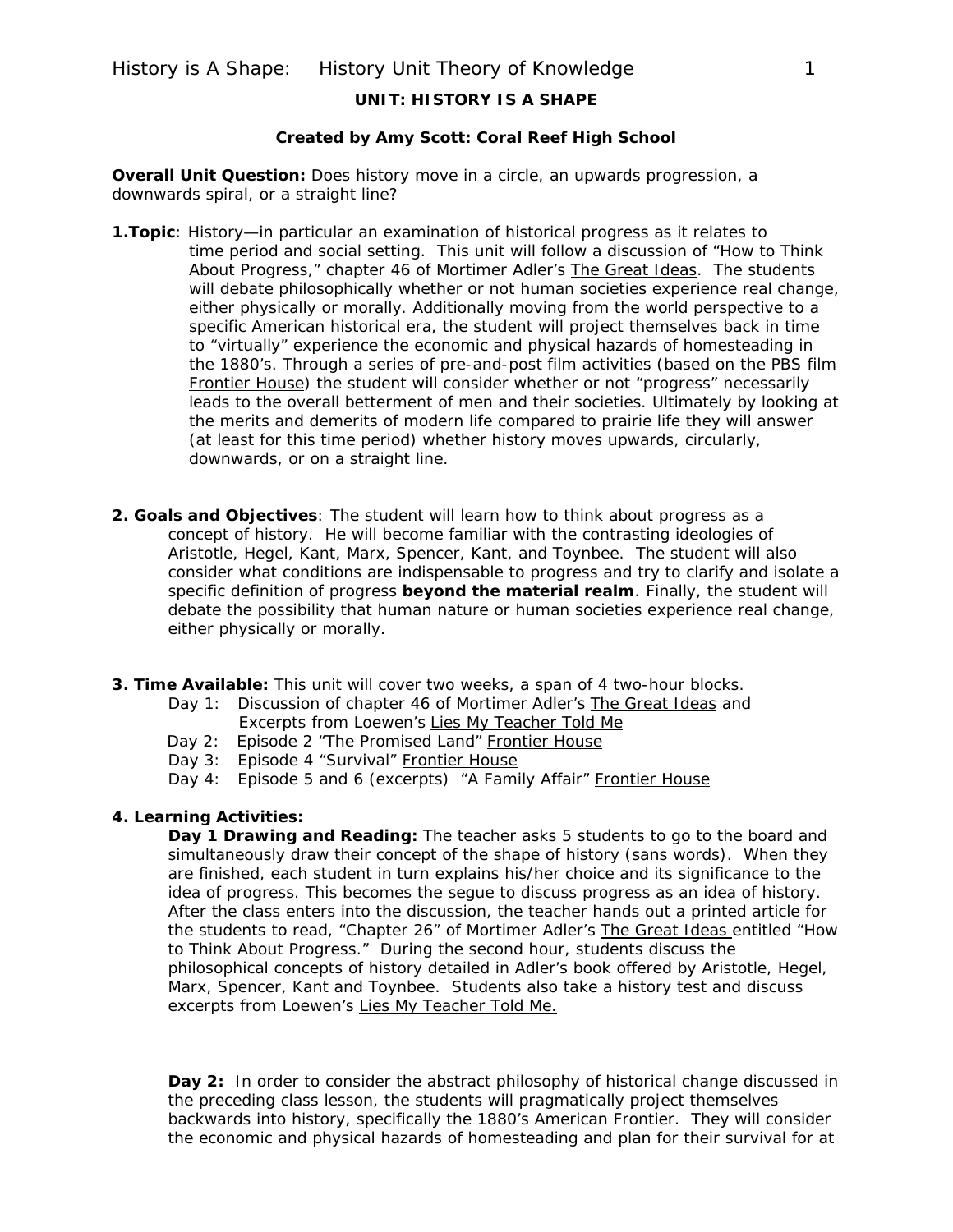## **UNIT: HISTORY IS A SHAPE**

### **Created by Amy Scott: Coral Reef High School**

**Overall Unit Question:** Does history move in a circle, an upwards progression, a downwards spiral, or a straight line?

- **1.Topic**: History—in particular an examination of historical progress as it relates to time period and social setting. This unit will follow a discussion of "How to Think About Progress," chapter 46 of Mortimer Adler's The Great Ideas. The students will debate philosophically whether or not human societies experience real change, either physically or morally. Additionally moving from the world perspective to a specific American historical era, the student will project themselves back in time to "virtually" experience the economic and physical hazards of homesteading in the 1880's. Through a series of pre-and-post film activities (based on the PBS film Frontier House) the student will consider whether or not "progress" necessarily leads to the overall betterment of men and their societies. Ultimately by looking at the merits and demerits of modern life compared to prairie life they will answer (at least for this time period) whether history moves upwards, circularly, downwards, or on a straight line.
- **2. Goals and Objectives**: The student will learn how to think about progress as a concept of history. He will become familiar with the contrasting ideologies of Aristotle, Hegel, Kant, Marx, Spencer, Kant, and Toynbee. The student will also consider what conditions are indispensable to progress and try to clarify and isolate a specific definition of progress **beyond the material realm**. Finally, the student will debate the possibility that human nature or human societies experience real change, either physically or morally.
- **3. Time Available:** This unit will cover two weeks, a span of 4 two-hour blocks.
	- Day 1: Discussion of chapter 46 of Mortimer Adler's The Great Ideas and Excerpts from Loewen's Lies My Teacher Told Me
	- Day 2: Episode 2 "The Promised Land" Frontier House
	- Day 3: Episode 4 "Survival" Frontier House
	- Day 4: Episode 5 and 6 (excerpts) "A Family Affair" Frontier House

#### **4. Learning Activities:**

**Day 1 Drawing and Reading:** The teacher asks 5 students to go to the board and simultaneously draw their concept of the shape of history (sans words). When they are finished, each student in turn explains his/her choice and its significance to the idea of progress. This becomes the segue to discuss progress as an idea of history. After the class enters into the discussion, the teacher hands out a printed article for the students to read, "Chapter 26" of Mortimer Adler's The Great Ideas entitled "How to Think About Progress." During the second hour, students discuss the philosophical concepts of history detailed in Adler's book offered by Aristotle, Hegel, Marx, Spencer, Kant and Toynbee. Students also take a history test and discuss excerpts from Loewen's Lies My Teacher Told Me.

**Day 2:** In order to consider the abstract philosophy of historical change discussed in the preceding class lesson, the students will pragmatically project themselves backwards into history, specifically the 1880's American Frontier. They will consider the economic and physical hazards of homesteading and plan for their survival for at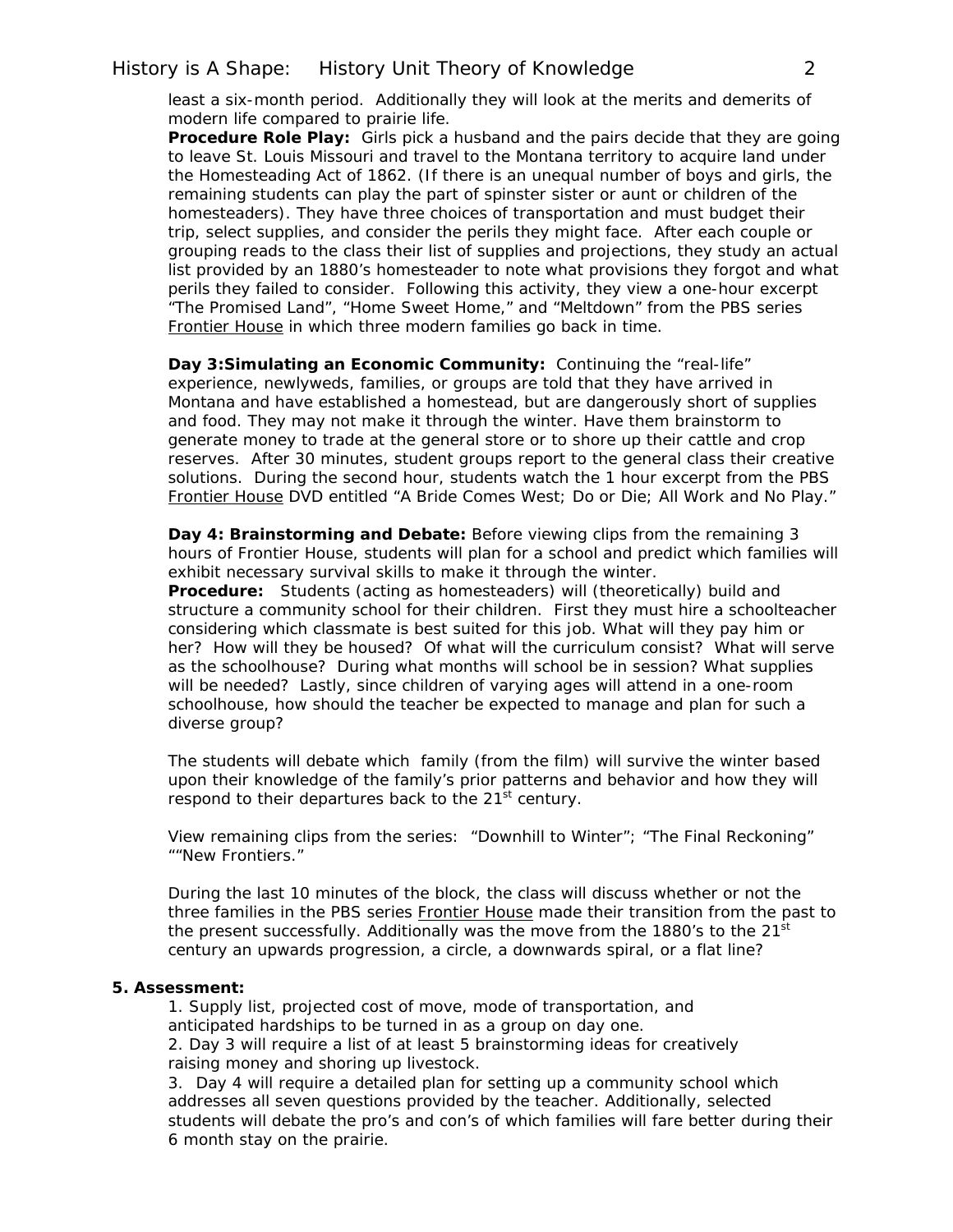## History is A Shape: History Unit Theory of Knowledge 2

least a six-month period. Additionally they will look at the merits and demerits of modern life compared to prairie life.

**Procedure Role Play:** Girls pick a husband and the pairs decide that they are going to leave St. Louis Missouri and travel to the Montana territory to acquire land under the Homesteading Act of 1862. (If there is an unequal number of boys and girls, the remaining students can play the part of spinster sister or aunt or children of the homesteaders). They have three choices of transportation and must budget their trip, select supplies, and consider the perils they might face. After each couple or grouping reads to the class their list of supplies and projections, they study an actual list provided by an 1880's homesteader to note what provisions they forgot and what perils they failed to consider. Following this activity, they view a one-hour excerpt "The Promised Land", "Home Sweet Home," and "Meltdown" from the PBS series Frontier House in which three modern families go back in time.

**Day 3:Simulating an Economic Community:** Continuing the "real-life" experience, newlyweds, families, or groups are told that they have arrived in Montana and have established a homestead, but are dangerously short of supplies and food. They may not make it through the winter. Have them brainstorm to generate money to trade at the general store or to shore up their cattle and crop reserves. After 30 minutes, student groups report to the general class their creative solutions. During the second hour, students watch the 1 hour excerpt from the PBS Frontier House DVD entitled "A Bride Comes West; Do or Die; All Work and No Play."

**Day 4: Brainstorming and Debate:** Before viewing clips from the remaining 3 hours of Frontier House, students will plan for a school and predict which families will exhibit necessary survival skills to make it through the winter.

**Procedure:** Students (acting as homesteaders) will (theoretically) build and structure a community school for their children. First they must hire a schoolteacher considering which classmate is best suited for this job. What will they pay him or her? How will they be housed? Of what will the curriculum consist? What will serve as the schoolhouse? During what months will school be in session? What supplies will be needed? Lastly, since children of varying ages will attend in a one-room schoolhouse, how should the teacher be expected to manage and plan for such a diverse group?

The students will debate which family (from the film) will survive the winter based upon their knowledge of the family's prior patterns and behavior and how they will respond to their departures back to the  $21<sup>st</sup>$  century.

View remaining clips from the series: "Downhill to Winter"; "The Final Reckoning" ""New Frontiers."

During the last 10 minutes of the block, the class will discuss whether or not the three families in the PBS series **Frontier House** made their transition from the past to the present successfully. Additionally was the move from the 1880's to the 21<sup>st</sup> century an upwards progression, a circle, a downwards spiral, or a flat line?

#### **5. Assessment:**

 1. Supply list, projected cost of move, mode of transportation, and anticipated hardships to be turned in as a group on day one. 2. Day 3 will require a list of at least 5 brainstorming ideas for creatively raising money and shoring up livestock.

3. Day 4 will require a detailed plan for setting up a community school which addresses all seven questions provided by the teacher. Additionally, selected students will debate the pro's and con's of which families will fare better during their 6 month stay on the prairie.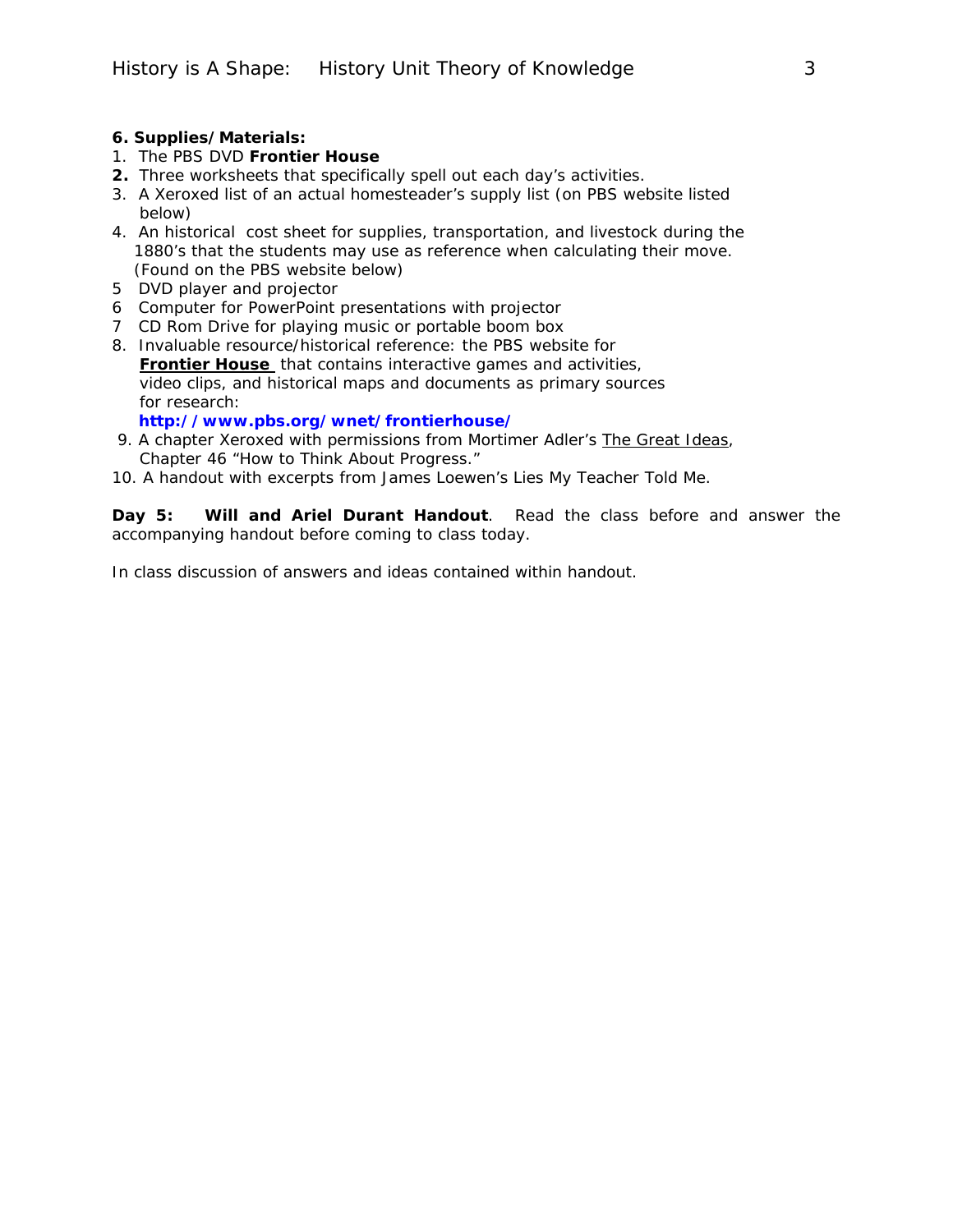#### **6. Supplies/Materials:**

- 1. The PBS DVD **Frontier House**
- **2.** Three worksheets that specifically spell out each day's activities.
- 3. A Xeroxed list of an actual homesteader's supply list (on PBS website listed below)
- 4. An historical cost sheet for supplies, transportation, and livestock during the 1880's that the students may use as reference when calculating their move. (Found on the PBS website below)
- 5 DVD player and projector
- 6 Computer for PowerPoint presentations with projector
- 7 CD Rom Drive for playing music or portable boom box
- 8. Invaluable resource/historical reference: the PBS website for **Frontier House** that contains interactive games and activities, video clips, and historical maps and documents as primary sources for research:

 **<http://www.pbs.org/wnet/frontierhouse/>**

- 9. A chapter Xeroxed with permissions from Mortimer Adler's The Great Ideas, Chapter 46 "How to Think About Progress."
- 10. A handout with excerpts from James Loewen's *Lies My Teacher Told Me.*

**Day 5: Will and Ariel Durant Handout**. Read the class before and answer the accompanying handout before coming to class today.

In class discussion of answers and ideas contained within handout.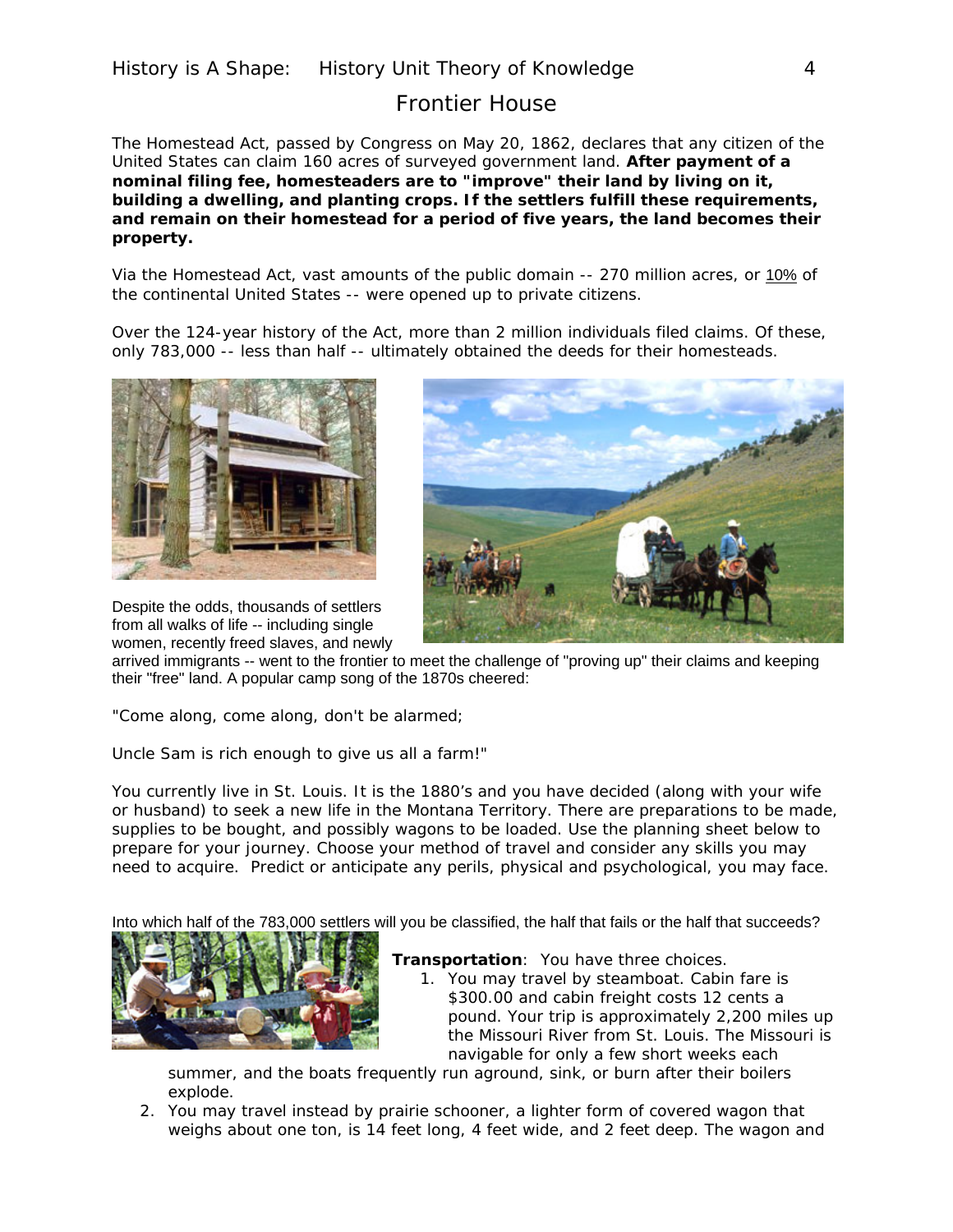# Frontier House

The Homestead Act, passed by Congress on May 20, 1862, declares that any citizen of the United States can claim 160 acres of surveyed government land. **After payment of a nominal filing fee, homesteaders are to "improve" their land by living on it, building a dwelling, and planting crops. If the settlers fulfill these requirements, and remain on their homestead for a period of five years, the land becomes their property.** 

Via the Homestead Act, vast amounts of the public domain -- 270 million acres, or [10%](http://www.pbs.org/wnet/frontierhouse/frontierlife/tenpercent.html) of the continental United States -- were opened up to private citizens.

Over the 124-year history of the Act, more than 2 million individuals filed claims. Of these, only 783,000 -- less than half -- ultimately obtained the deeds for their homesteads.



Despite the odds, thousands of settlers from all walks of life -- including single women, recently freed slaves, and newly



arrived immigrants -- went to the frontier to meet the challenge of "proving up" their claims and keeping their "free" land. A popular camp song of the 1870s cheered:

"Come along, come along, don't be alarmed;

Uncle Sam is rich enough to give us all a farm!"

You currently live in St. Louis. It is the 1880's and you have decided (along with your wife or husband) to seek a new life in the Montana Territory. There are preparations to be made, supplies to be bought, and possibly wagons to be loaded. Use the planning sheet below to prepare for your journey. Choose your method of travel and consider any skills you may need to acquire. Predict or anticipate any perils, physical and psychological, you may face.

Into which half of the 783,000 settlers will you be classified, the half that fails or the half that succeeds?



**Transportation**: You have three choices.

1. You may travel by steamboat. Cabin fare is \$300.00 and cabin freight costs 12 cents a pound. Your trip is approximately 2,200 miles up the Missouri River from St. Louis. The Missouri is navigable for only a few short weeks each

summer, and the boats frequently run aground, sink, or burn after their boilers explode.

2. You may travel instead by prairie schooner, a lighter form of covered wagon that weighs about one ton, is 14 feet long, 4 feet wide, and 2 feet deep. The wagon and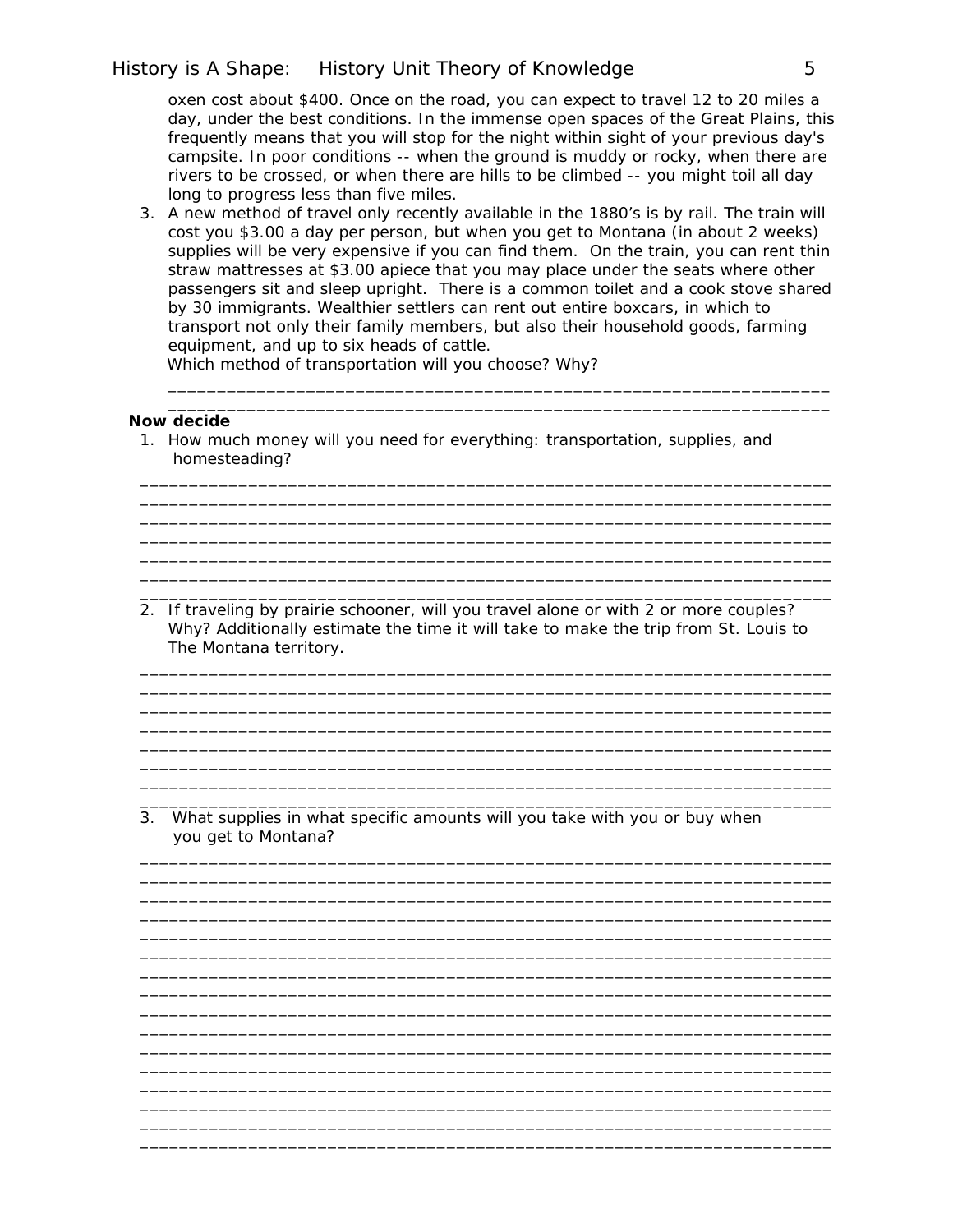## History is A Shape: History Unit Theory of Knowledge 5

oxen cost about \$400. Once on the road, you can expect to travel 12 to 20 miles a day, under the best conditions. In the immense open spaces of the Great Plains, this frequently means that you will stop for the night within sight of your previous day's campsite. In poor conditions -- when the ground is muddy or rocky, when there are rivers to be crossed, or when there are hills to be climbed -- you might toil all day long to progress less than five miles.

3. A new method of travel only recently available in the 1880's is by rail. The train will cost you \$3.00 a day per person, but when you get to Montana (in about 2 weeks) supplies will be very expensive if you can find them. On the train, you can rent thin straw mattresses at \$3.00 apiece that you may place under the seats where other passengers sit and sleep upright. There is a common toilet and a cook stove shared by 30 immigrants. Wealthier settlers can rent out entire boxcars, in which to transport not only their family members, but also their household goods, farming equipment, and up to six heads of cattle.

\_\_\_\_\_\_\_\_\_\_\_\_\_\_\_\_\_\_\_\_\_\_\_\_\_\_\_\_\_\_\_\_\_\_\_\_\_\_\_\_\_\_\_\_\_\_\_\_\_\_\_\_\_\_\_\_\_\_\_\_\_\_\_\_\_\_\_

\_\_\_\_\_\_\_\_\_\_\_\_\_\_\_\_\_\_\_\_\_\_\_\_\_\_\_\_\_\_\_\_\_\_\_\_\_\_\_\_\_\_\_\_\_\_\_\_\_\_\_\_\_\_\_\_\_\_\_\_\_\_\_\_\_\_\_\_\_\_ \_\_\_\_\_\_\_\_\_\_\_\_\_\_\_\_\_\_\_\_\_\_\_\_\_\_\_\_\_\_\_\_\_\_\_\_\_\_\_\_\_\_\_\_\_\_\_\_\_\_\_\_\_\_\_\_\_\_\_\_\_\_\_\_\_\_\_\_\_\_

\_\_\_\_\_\_\_\_\_\_\_\_\_\_\_\_\_\_\_\_\_\_\_\_\_\_\_\_\_\_\_\_\_\_\_\_\_\_\_\_\_\_\_\_\_\_\_\_\_\_\_\_\_\_\_\_\_\_\_\_\_\_\_\_\_\_\_\_\_\_ \_\_\_\_\_\_\_\_\_\_\_\_\_\_\_\_\_\_\_\_\_\_\_\_\_\_\_\_\_\_\_\_\_\_\_\_\_\_\_\_\_\_\_\_\_\_\_\_\_\_\_\_\_\_\_\_\_\_\_\_\_\_\_\_\_\_\_\_\_\_

\_\_\_\_\_\_\_\_\_\_\_\_\_\_\_\_\_\_\_\_\_\_\_\_\_\_\_\_\_\_\_\_\_\_\_\_\_\_\_\_\_\_\_\_\_\_\_\_\_\_\_\_\_\_\_\_\_\_\_\_\_\_\_\_\_\_\_\_\_\_

 $\overline{\phantom{a}}$  , and the contribution of the contribution of the contribution of the contribution of the contribution of the contribution of the contribution of the contribution of the contribution of the contribution of the

 Which method of transportation will you choose? Why? \_\_\_\_\_\_\_\_\_\_\_\_\_\_\_\_\_\_\_\_\_\_\_\_\_\_\_\_\_\_\_\_\_\_\_\_\_\_\_\_\_\_\_\_\_\_\_\_\_\_\_\_\_\_\_\_\_\_\_\_\_\_\_\_\_\_\_

#### **Now decide**

1. How much money will you need for everything: transportation, supplies, and homesteading?

2. If traveling by prairie schooner, will you travel alone or with 2 or more couples? Why? Additionally estimate the time it will take to make the trip from St. Louis to The Montana territory.

\_\_\_\_\_\_\_\_\_\_\_\_\_\_\_\_\_\_\_\_\_\_\_\_\_\_\_\_\_\_\_\_\_\_\_\_\_\_\_\_\_\_\_\_\_\_\_\_\_\_\_\_\_\_\_\_\_\_\_\_\_\_\_\_\_\_\_\_\_\_ \_\_\_\_\_\_\_\_\_\_\_\_\_\_\_\_\_\_\_\_\_\_\_\_\_\_\_\_\_\_\_\_\_\_\_\_\_\_\_\_\_\_\_\_\_\_\_\_\_\_\_\_\_\_\_\_\_\_\_\_\_\_\_\_\_\_\_\_\_\_

\_\_\_\_\_\_\_\_\_\_\_\_\_\_\_\_\_\_\_\_\_\_\_\_\_\_\_\_\_\_\_\_\_\_\_\_\_\_\_\_\_\_\_\_\_\_\_\_\_\_\_\_\_\_\_\_\_\_\_\_\_\_\_\_\_\_\_\_\_\_ \_\_\_\_\_\_\_\_\_\_\_\_\_\_\_\_\_\_\_\_\_\_\_\_\_\_\_\_\_\_\_\_\_\_\_\_\_\_\_\_\_\_\_\_\_\_\_\_\_\_\_\_\_\_\_\_\_\_\_\_\_\_\_\_\_\_\_\_\_\_  $\mathcal{L}_\mathcal{L} = \mathcal{L}_\mathcal{L} = \mathcal{L}_\mathcal{L} = \mathcal{L}_\mathcal{L} = \mathcal{L}_\mathcal{L} = \mathcal{L}_\mathcal{L} = \mathcal{L}_\mathcal{L} = \mathcal{L}_\mathcal{L} = \mathcal{L}_\mathcal{L} = \mathcal{L}_\mathcal{L} = \mathcal{L}_\mathcal{L} = \mathcal{L}_\mathcal{L} = \mathcal{L}_\mathcal{L} = \mathcal{L}_\mathcal{L} = \mathcal{L}_\mathcal{L} = \mathcal{L}_\mathcal{L} = \mathcal{L}_\mathcal{L}$ \_\_\_\_\_\_\_\_\_\_\_\_\_\_\_\_\_\_\_\_\_\_\_\_\_\_\_\_\_\_\_\_\_\_\_\_\_\_\_\_\_\_\_\_\_\_\_\_\_\_\_\_\_\_\_\_\_\_\_\_\_\_\_\_\_\_\_\_\_\_ \_\_\_\_\_\_\_\_\_\_\_\_\_\_\_\_\_\_\_\_\_\_\_\_\_\_\_\_\_\_\_\_\_\_\_\_\_\_\_\_\_\_\_\_\_\_\_\_\_\_\_\_\_\_\_\_\_\_\_\_\_\_\_\_\_\_\_\_\_\_

\_\_\_\_\_\_\_\_\_\_\_\_\_\_\_\_\_\_\_\_\_\_\_\_\_\_\_\_\_\_\_\_\_\_\_\_\_\_\_\_\_\_\_\_\_\_\_\_\_\_\_\_\_\_\_\_\_\_\_\_\_\_\_\_\_\_\_\_\_\_ \_\_\_\_\_\_\_\_\_\_\_\_\_\_\_\_\_\_\_\_\_\_\_\_\_\_\_\_\_\_\_\_\_\_\_\_\_\_\_\_\_\_\_\_\_\_\_\_\_\_\_\_\_\_\_\_\_\_\_\_\_\_\_\_\_\_\_\_\_\_ \_\_\_\_\_\_\_\_\_\_\_\_\_\_\_\_\_\_\_\_\_\_\_\_\_\_\_\_\_\_\_\_\_\_\_\_\_\_\_\_\_\_\_\_\_\_\_\_\_\_\_\_\_\_\_\_\_\_\_\_\_\_\_\_\_\_\_\_\_\_ \_\_\_\_\_\_\_\_\_\_\_\_\_\_\_\_\_\_\_\_\_\_\_\_\_\_\_\_\_\_\_\_\_\_\_\_\_\_\_\_\_\_\_\_\_\_\_\_\_\_\_\_\_\_\_\_\_\_\_\_\_\_\_\_\_\_\_\_\_\_ \_\_\_\_\_\_\_\_\_\_\_\_\_\_\_\_\_\_\_\_\_\_\_\_\_\_\_\_\_\_\_\_\_\_\_\_\_\_\_\_\_\_\_\_\_\_\_\_\_\_\_\_\_\_\_\_\_\_\_\_\_\_\_\_\_\_\_\_\_\_

\_\_\_\_\_\_\_\_\_\_\_\_\_\_\_\_\_\_\_\_\_\_\_\_\_\_\_\_\_\_\_\_\_\_\_\_\_\_\_\_\_\_\_\_\_\_\_\_\_\_\_\_\_\_\_\_\_\_\_\_\_\_\_\_\_\_\_\_\_\_ \_\_\_\_\_\_\_\_\_\_\_\_\_\_\_\_\_\_\_\_\_\_\_\_\_\_\_\_\_\_\_\_\_\_\_\_\_\_\_\_\_\_\_\_\_\_\_\_\_\_\_\_\_\_\_\_\_\_\_\_\_\_\_\_\_\_\_\_\_\_

\_\_\_\_\_\_\_\_\_\_\_\_\_\_\_\_\_\_\_\_\_\_\_\_\_\_\_\_\_\_\_\_\_\_\_\_\_\_\_\_\_\_\_\_\_\_\_\_\_\_\_\_\_\_\_\_\_\_\_\_\_\_\_\_\_\_\_\_\_\_ \_\_\_\_\_\_\_\_\_\_\_\_\_\_\_\_\_\_\_\_\_\_\_\_\_\_\_\_\_\_\_\_\_\_\_\_\_\_\_\_\_\_\_\_\_\_\_\_\_\_\_\_\_\_\_\_\_\_\_\_\_\_\_\_\_\_\_\_\_\_ \_\_\_\_\_\_\_\_\_\_\_\_\_\_\_\_\_\_\_\_\_\_\_\_\_\_\_\_\_\_\_\_\_\_\_\_\_\_\_\_\_\_\_\_\_\_\_\_\_\_\_\_\_\_\_\_\_\_\_\_\_\_\_\_\_\_\_\_\_\_ \_\_\_\_\_\_\_\_\_\_\_\_\_\_\_\_\_\_\_\_\_\_\_\_\_\_\_\_\_\_\_\_\_\_\_\_\_\_\_\_\_\_\_\_\_\_\_\_\_\_\_\_\_\_\_\_\_\_\_\_\_\_\_\_\_\_\_\_\_\_ \_\_\_\_\_\_\_\_\_\_\_\_\_\_\_\_\_\_\_\_\_\_\_\_\_\_\_\_\_\_\_\_\_\_\_\_\_\_\_\_\_\_\_\_\_\_\_\_\_\_\_\_\_\_\_\_\_\_\_\_\_\_\_\_\_\_\_\_\_\_ \_\_\_\_\_\_\_\_\_\_\_\_\_\_\_\_\_\_\_\_\_\_\_\_\_\_\_\_\_\_\_\_\_\_\_\_\_\_\_\_\_\_\_\_\_\_\_\_\_\_\_\_\_\_\_\_\_\_\_\_\_\_\_\_\_\_\_\_\_\_ \_\_\_\_\_\_\_\_\_\_\_\_\_\_\_\_\_\_\_\_\_\_\_\_\_\_\_\_\_\_\_\_\_\_\_\_\_\_\_\_\_\_\_\_\_\_\_\_\_\_\_\_\_\_\_\_\_\_\_\_\_\_\_\_\_\_\_\_\_\_

3. What supplies in what specific amounts will you take with you or buy when you get to Montana?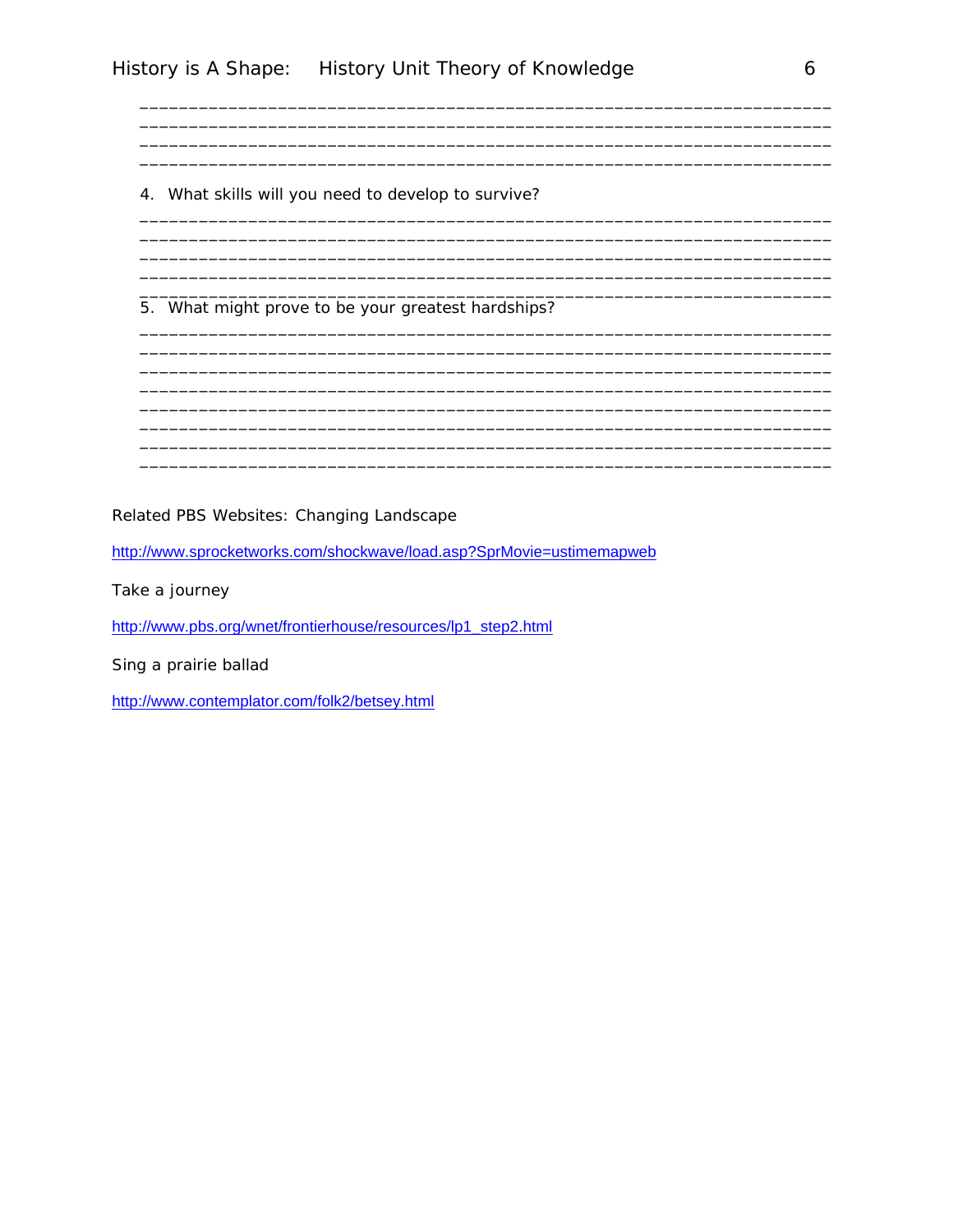4. What skills will you need to develop to survive?

5. What might prove to be your greatest hardships?

Related PBS Websites: Changing Landscape

http://www.sprocketworks.com/shockwave/load.asp?SprMovie=ustimemapweb

Take a journey

http://www.pbs.org/wnet/frontierhouse/resources/lp1\_step2.html

Sing a prairie ballad

http://www.contemplator.com/folk2/betsey.html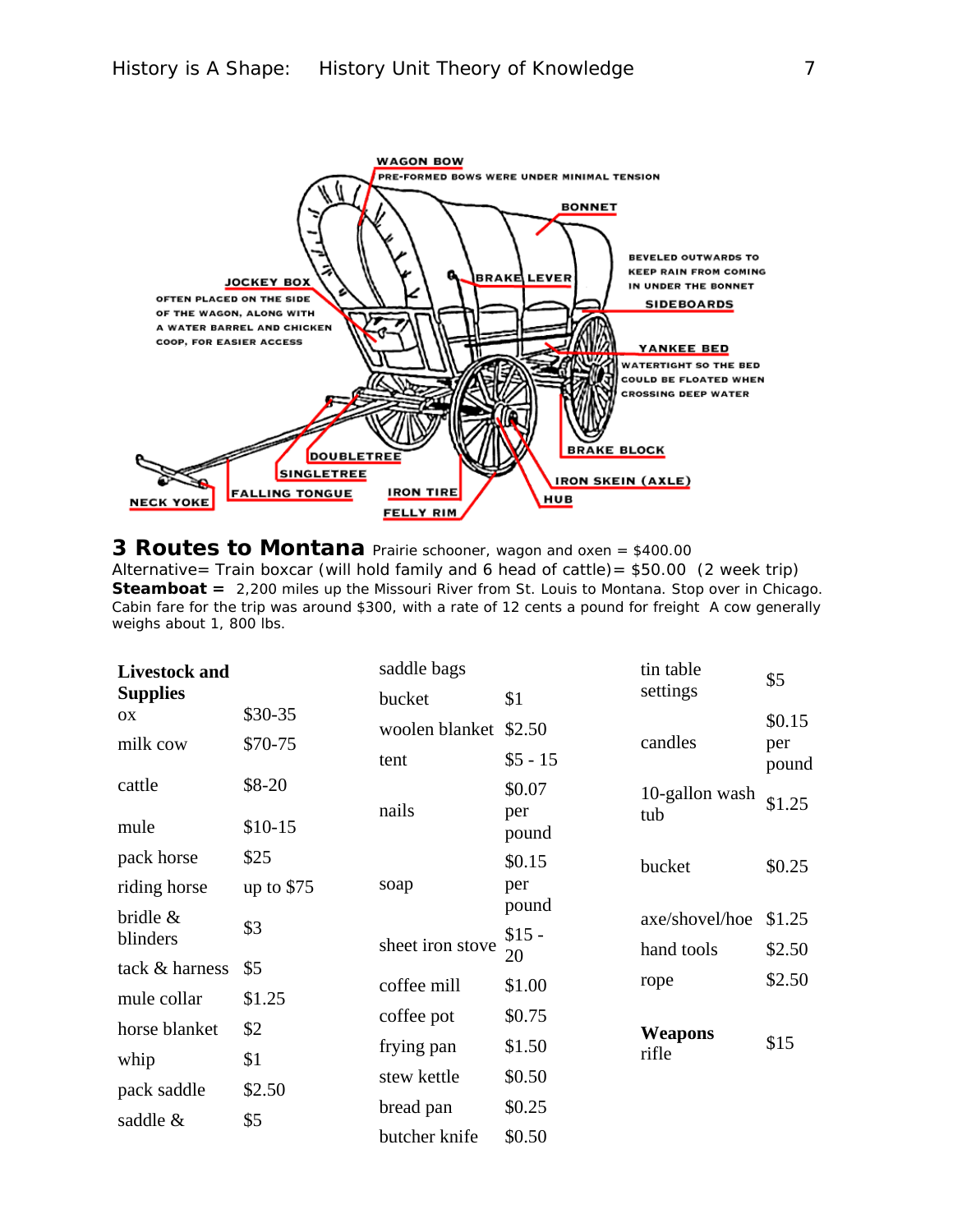

**3 Routes to Montana** Prairie schooner, wagon and oxen = \$400.00Alternative= Train boxcar (will hold family and 6 head of cattle)= \$50.00 (2 week trip) **Steamboat =** 2,200 miles up the Missouri River from St. Louis to Montana. Stop over in Chicago. Cabin fare for the trip was around \$300, with a rate of 12 cents a pound for freight A cow generally weighs about 1, 800 lbs.

| <b>Livestock and</b> |             | saddle bags           |              | tin table      | \$5          |
|----------------------|-------------|-----------------------|--------------|----------------|--------------|
| <b>Supplies</b>      |             | bucket                | \$1          | settings       |              |
| OX                   | \$30-35     | woolen blanket \$2.50 |              |                | \$0.15       |
| \$70-75<br>milk cow  |             | tent                  | $$5 - 15$    | candles        | per<br>pound |
| cattle               | $$8-20$     |                       | \$0.07       | 10-gallon wash |              |
| mule                 | $$10-15$    | nails                 | per<br>pound | tub            | \$1.25       |
| pack horse           | \$25        |                       | \$0.15       | bucket         | \$0.25       |
| riding horse         | up to $$75$ | soap                  | per          |                |              |
| bridle &             | \$3         |                       | pound        | axe/shovel/hoe | \$1.25       |
| blinders             |             | sheet iron stove      | $$15 -$      | hand tools     | \$2.50       |
| tack & harness       | \$5         |                       | 20           |                | \$2.50       |
| mule collar          | \$1.25      | coffee mill           | \$1.00       | rope           |              |
| horse blanket        | \$2         | coffee pot            | \$0.75       | <b>Weapons</b> |              |
| whip                 | \$1         | frying pan            | \$1.50       | rifle          | \$15         |
|                      |             | stew kettle           | \$0.50       |                |              |
| pack saddle          | \$2.50      | bread pan             | \$0.25       |                |              |
| saddle &             | \$5         | butcher knife         | \$0.50       |                |              |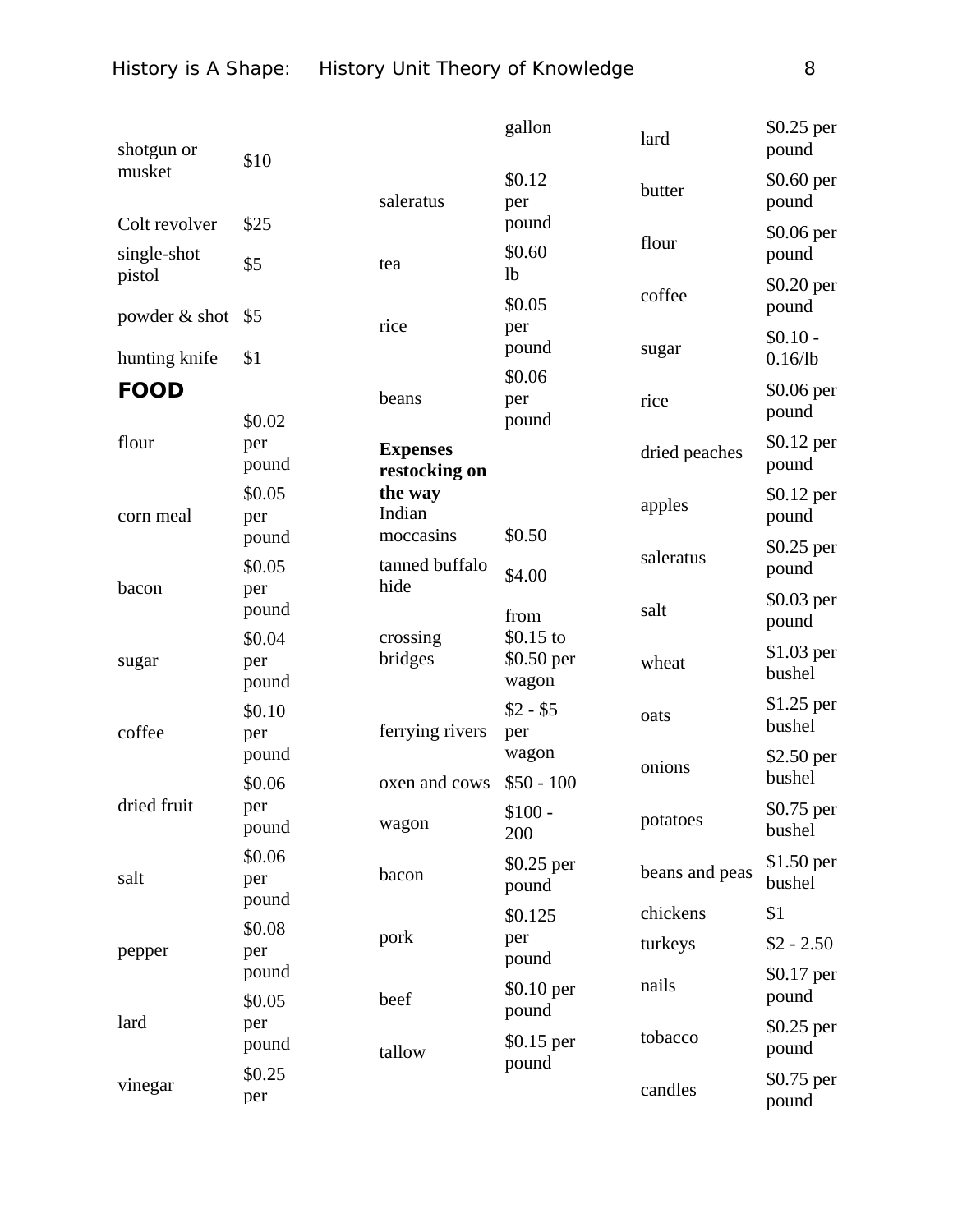| shotgun or            | \$10                   |                                  | gallon                             | lard           | \$0.25 per<br>pound     |
|-----------------------|------------------------|----------------------------------|------------------------------------|----------------|-------------------------|
| musket                |                        | saleratus                        | \$0.12<br>per                      | butter         | $$0.60$ per<br>pound    |
| Colt revolver         | \$25                   |                                  | pound                              | flour          | \$0.06 per              |
| single-shot<br>pistol | \$5                    | tea                              | \$0.60<br>1 <sub>b</sub>           |                | pound                   |
| powder & shot         | \$5                    |                                  | \$0.05                             | coffee         | \$0.20 per<br>pound     |
| hunting knife         | \$1                    | rice                             | per<br>pound                       | sugar          | $$0.10 -$<br>$0.16$ /lb |
| <b>FOOD</b>           |                        | beans                            | \$0.06<br>per                      | rice           | \$0.06 per<br>pound     |
| flour                 | \$0.02<br>per<br>pound | <b>Expenses</b><br>restocking on | pound                              | dried peaches  | \$0.12 per<br>pound     |
| corn meal             | \$0.05<br>per          | the way<br>Indian                |                                    | apples         | \$0.12 per<br>pound     |
|                       | pound<br>\$0.05        | moccasins<br>tanned buffalo      | \$0.50<br>\$4.00                   | saleratus      | $$0.25$ per<br>pound    |
| bacon                 | per<br>pound           | hide                             | from                               | salt           | $$0.03$ per<br>pound    |
| sugar                 | \$0.04<br>per<br>pound | crossing<br>bridges              | $$0.15$ to<br>$$0.50$ per<br>wagon | wheat          | $$1.03$ per<br>bushel   |
| coffee                | \$0.10<br>per          | ferrying rivers                  | $$2 - $5$<br>per                   | oats           | $$1.25$ per<br>bushel   |
|                       | pound<br>\$0.06        | oxen and cows                    | wagon<br>$$50 - 100$               | onions         | $$2.50$ per<br>bushel   |
| dried fruit           | per<br>pound           | wagon                            | \$100.<br>200                      | potatoes       | \$0.75 per<br>bushel    |
| salt                  | \$0.06<br>per          | bacon                            | $$0.25$ per<br>pound               | beans and peas | $$1.50$ per<br>bushel   |
|                       | pound<br>\$0.08        |                                  | \$0.125                            | chickens       | \$1                     |
| pepper                | per                    | pork                             | per<br>pound                       | turkeys        | $$2 - 2.50$             |
|                       | pound<br>\$0.05        | beef                             | \$0.10 per                         | nails          | \$0.17 per<br>pound     |
| lard                  | per<br>pound           | tallow                           | pound<br>$$0.15$ per               | tobacco        | $$0.25$ per<br>pound    |
| vinegar               | \$0.25<br>per          |                                  | pound                              | candles        | \$0.75 per<br>pound     |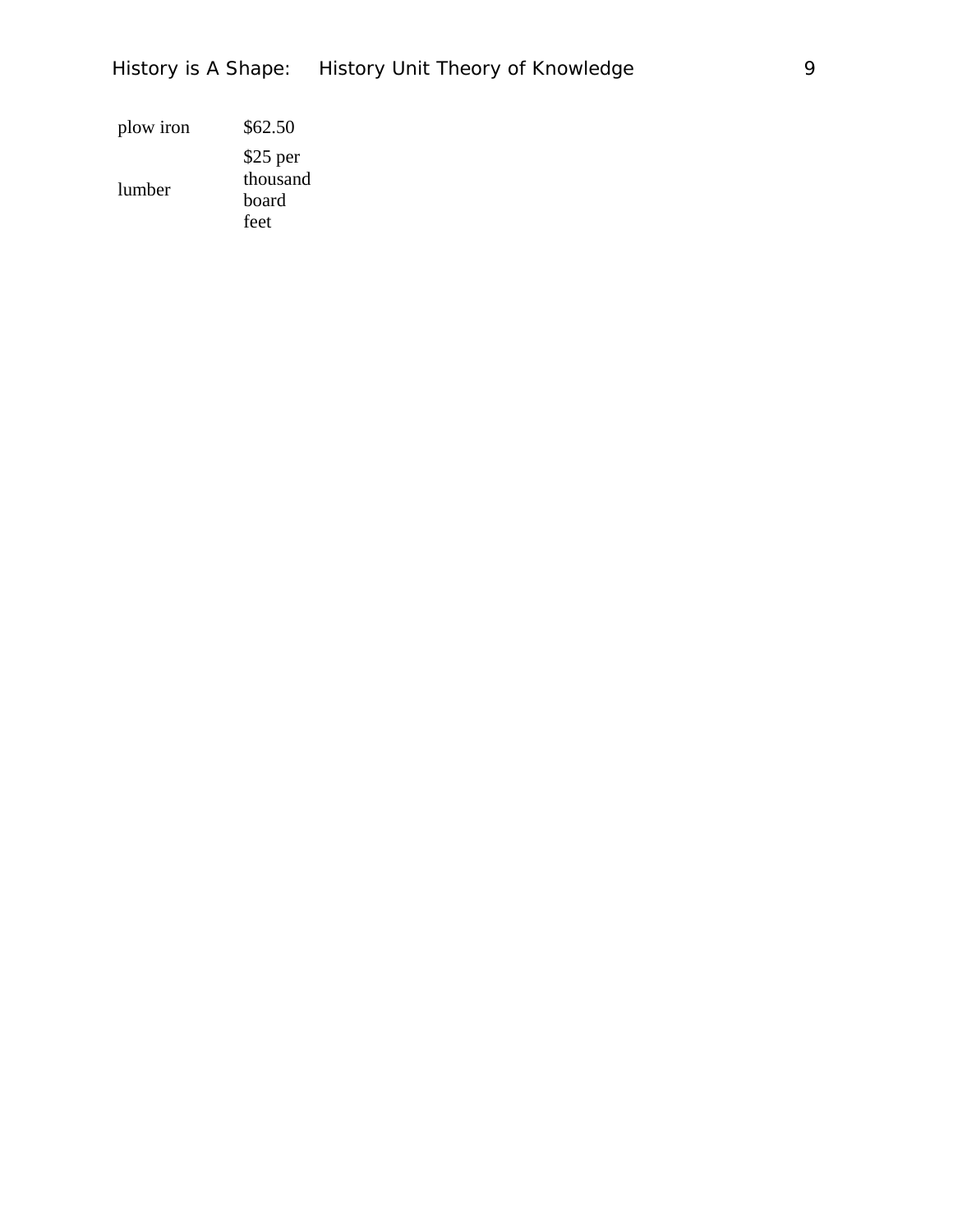# History is A Shape: History Unit Theory of Knowledge 9

| plow iron | \$62.50                                |
|-----------|----------------------------------------|
| lumber    | $$25$ per<br>thousand<br>board<br>feet |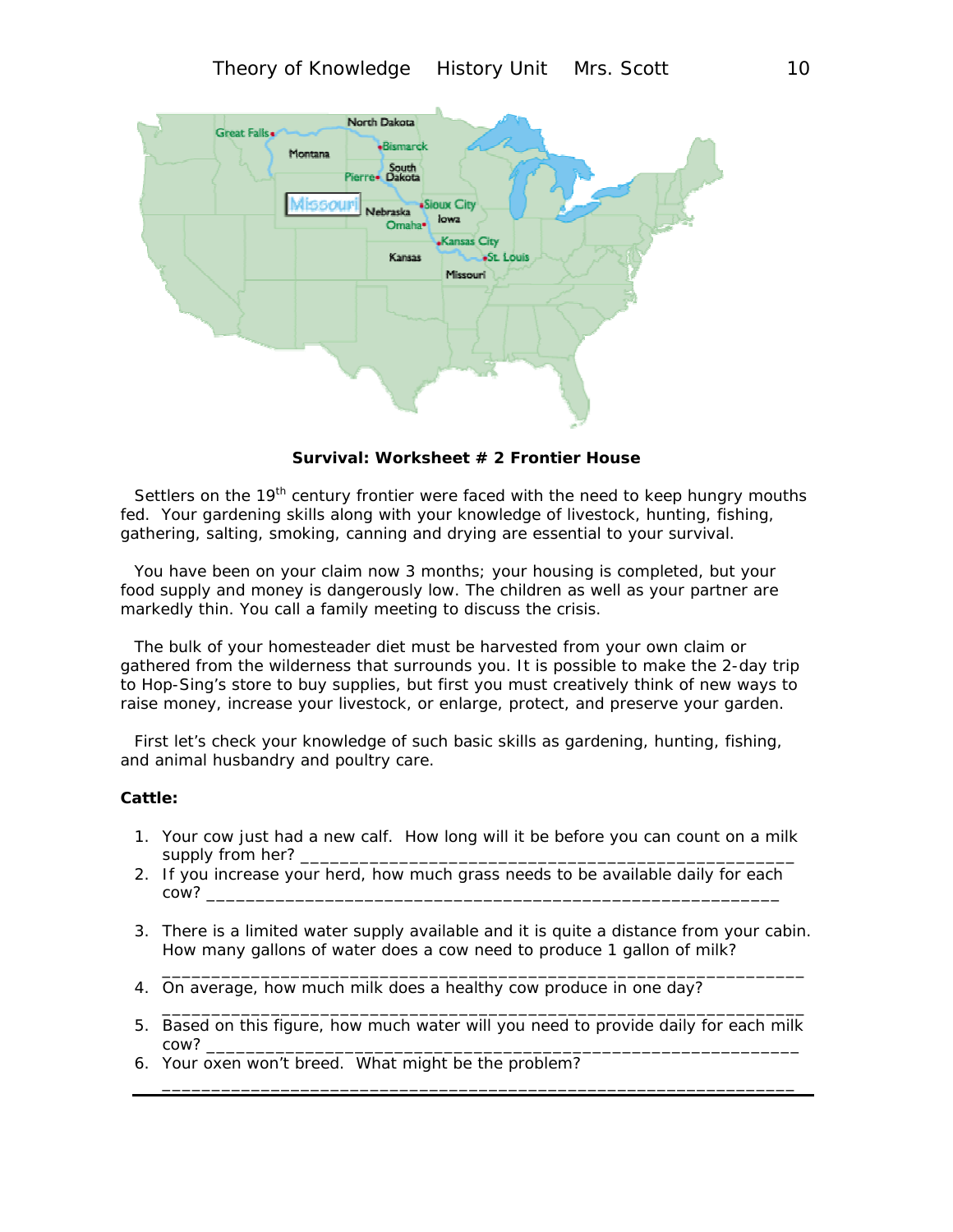

**Survival: Worksheet # 2 Frontier House** 

Settlers on the  $19<sup>th</sup>$  century frontier were faced with the need to keep hungry mouths fed. Your gardening skills along with your knowledge of livestock, hunting, fishing, gathering, salting, smoking, canning and drying are essential to your survival.

You have been on your claim now 3 months; your housing is completed, but your food supply and money is dangerously low. The children as well as your partner are markedly thin. You call a family meeting to discuss the crisis.

The bulk of your homesteader diet must be harvested from your own claim or gathered from the wilderness that surrounds you. It is possible to make the 2-day trip to Hop-Sing's store to buy supplies, but first you must creatively think of new ways to raise money, increase your livestock, or enlarge, protect, and preserve your garden.

First let's check your knowledge of such basic skills as gardening, hunting, fishing, and animal husbandry and poultry care.

#### **Cattle:**

- 1. Your cow just had a new calf. How long will it be before you can count on a milk supply from her? \_
- 2. If you increase your herd, how much grass needs to be available daily for each cow?
- 3. There is a limited water supply available and it is quite a distance from your cabin. How many gallons of water does a cow need to produce 1 gallon of milk?

\_\_\_\_\_\_\_\_\_\_\_\_\_\_\_\_\_\_\_\_\_\_\_\_\_\_\_\_\_\_\_\_\_\_\_\_\_\_\_\_\_\_\_\_\_\_\_\_\_\_\_\_\_\_\_\_\_\_\_\_\_\_\_\_\_

\_\_\_\_\_\_\_\_\_\_\_\_\_\_\_\_\_\_\_\_\_\_\_\_\_\_\_\_\_\_\_\_\_\_\_\_\_\_\_\_\_\_\_\_\_\_\_\_\_\_\_\_\_\_\_\_\_\_\_\_\_\_\_\_\_

\_\_\_\_\_\_\_\_\_\_\_\_\_\_\_\_\_\_\_\_\_\_\_\_\_\_\_\_\_\_\_\_\_\_\_\_\_\_\_\_\_\_\_\_\_\_\_\_\_\_\_\_\_\_\_\_\_\_\_\_\_\_\_\_

- 4. On average, how much milk does a healthy cow produce in one day?
- 5. Based on this figure, how much water will you need to provide daily for each milk cow? \_\_\_\_\_\_\_\_\_\_\_\_\_\_\_\_\_\_\_\_\_\_\_\_\_\_\_\_\_\_\_\_\_\_\_\_\_\_\_\_\_\_\_\_\_\_\_\_\_\_\_\_\_\_\_\_\_\_\_\_
- 6. Your oxen won't breed. What might be the problem?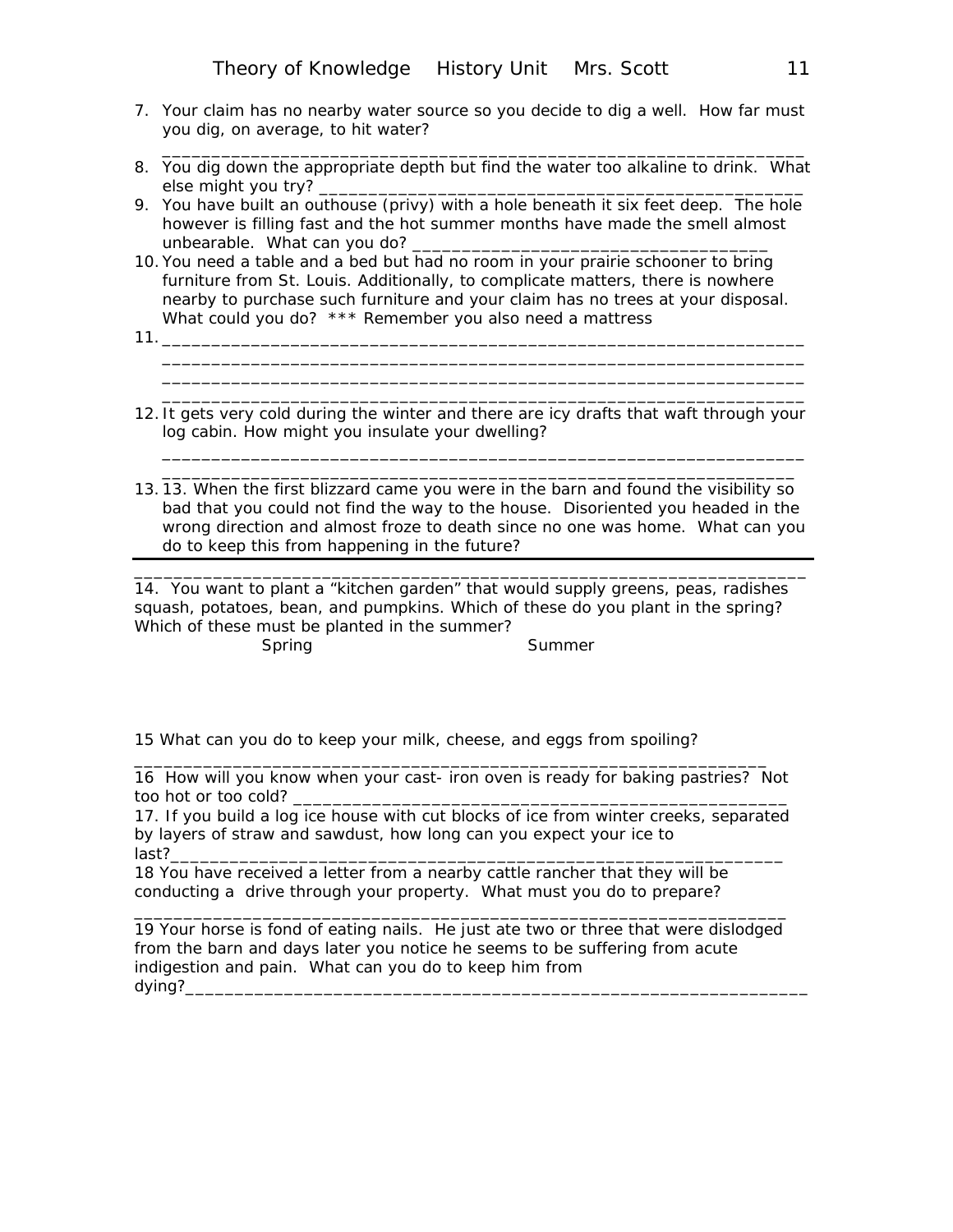- 7. Your claim has no nearby water source so you decide to dig a well. How far must you dig, on average, to hit water?
- 8. You dig down the appropriate depth but find the water too alkaline to drink. What else might you try? \_\_\_\_\_\_\_\_\_\_\_\_\_\_\_\_\_\_\_\_\_\_\_\_\_\_\_\_\_\_\_\_\_\_\_\_\_\_\_\_\_\_\_\_\_\_\_\_\_

\_\_\_\_\_\_\_\_\_\_\_\_\_\_\_\_\_\_\_\_\_\_\_\_\_\_\_\_\_\_\_\_\_\_\_\_\_\_\_\_\_\_\_\_\_\_\_\_\_\_\_\_\_\_\_\_\_\_\_\_\_\_\_\_\_

- 9. You have built an outhouse (privy) with a hole beneath it six feet deep. The hole however is filling fast and the hot summer months have made the smell almost unbearable. What can you do?
- 10. You need a table and a bed but had no room in your prairie schooner to bring furniture from St. Louis. Additionally, to complicate matters, there is nowhere nearby to purchase such furniture and your claim has no trees at your disposal. What could you do? \*\*\* Remember you also need a mattress
- 11.  $\frac{1}{2}$
- 12. It gets very cold during the winter and there are icy drafts that waft through your log cabin. How might you insulate your dwelling?

\_\_\_\_\_\_\_\_\_\_\_\_\_\_\_\_\_\_\_\_\_\_\_\_\_\_\_\_\_\_\_\_\_\_\_\_\_\_\_\_\_\_\_\_\_\_\_\_\_\_\_\_\_\_\_\_\_\_\_\_\_\_\_\_\_

\_\_\_\_\_\_\_\_\_\_\_\_\_\_\_\_\_\_\_\_\_\_\_\_\_\_\_\_\_\_\_\_\_\_\_\_\_\_\_\_\_\_\_\_\_\_\_\_\_\_\_\_\_\_\_\_\_\_\_\_\_\_\_\_\_

\_\_\_\_\_\_\_\_\_\_\_\_\_\_\_\_\_\_\_\_\_\_\_\_\_\_\_\_\_\_\_\_\_\_\_\_\_\_\_\_\_\_\_\_\_\_\_\_\_\_\_\_\_\_\_\_\_\_\_\_\_\_\_\_\_ \_\_\_\_\_\_\_\_\_\_\_\_\_\_\_\_\_\_\_\_\_\_\_\_\_\_\_\_\_\_\_\_\_\_\_\_\_\_\_\_\_\_\_\_\_\_\_\_\_\_\_\_\_\_\_\_\_\_\_\_\_\_\_\_

13. 13. When the first blizzard came you were in the barn and found the visibility so bad that you could not find the way to the house. Disoriented you headed in the wrong direction and almost froze to death since no one was home. What can you do to keep this from happening in the future?

\_\_\_\_\_\_\_\_\_\_\_\_\_\_\_\_\_\_\_\_\_\_\_\_\_\_\_\_\_\_\_\_\_\_\_\_\_\_\_\_\_\_\_\_\_\_\_\_\_\_\_\_\_\_\_\_\_\_\_\_\_\_\_\_\_\_\_\_

14. You want to plant a "kitchen garden" that would supply greens, peas, radishes squash, potatoes, bean, and pumpkins. Which of these do you plant in the spring? Which of these must be planted in the summer?

Spring Summer

15 What can you do to keep your milk, cheese, and eggs from spoiling?

16 How will you know when your cast- iron oven is ready for baking pastries? Not too hot or too cold?

\_\_\_\_\_\_\_\_\_\_\_\_\_\_\_\_\_\_\_\_\_\_\_\_\_\_\_\_\_\_\_\_\_\_\_\_\_\_\_\_\_\_\_\_\_\_\_\_\_\_\_\_\_\_\_\_\_\_\_\_\_\_\_\_

17. If you build a log ice house with cut blocks of ice from winter creeks, separated by layers of straw and sawdust, how long can you expect your ice to last?\_\_\_\_\_\_\_\_\_\_\_\_\_\_\_\_\_\_\_\_\_\_\_\_\_\_\_\_\_\_\_\_\_\_\_\_\_\_\_\_\_\_\_\_\_\_\_\_\_\_\_\_\_\_\_\_\_\_\_\_\_\_

18 You have received a letter from a nearby cattle rancher that they will be conducting a drive through your property. What must you do to prepare?

19 Your horse is fond of eating nails. He just ate two or three that were dislodged from the barn and days later you notice he seems to be suffering from acute indigestion and pain. What can you do to keep him from dying?\_\_\_\_\_\_\_\_\_\_\_\_\_\_\_\_\_\_\_\_\_\_\_\_\_\_\_\_\_\_\_\_\_\_\_\_\_\_\_\_\_\_\_\_\_\_\_\_\_\_\_\_\_\_\_\_\_\_\_\_\_\_\_

\_\_\_\_\_\_\_\_\_\_\_\_\_\_\_\_\_\_\_\_\_\_\_\_\_\_\_\_\_\_\_\_\_\_\_\_\_\_\_\_\_\_\_\_\_\_\_\_\_\_\_\_\_\_\_\_\_\_\_\_\_\_\_\_\_\_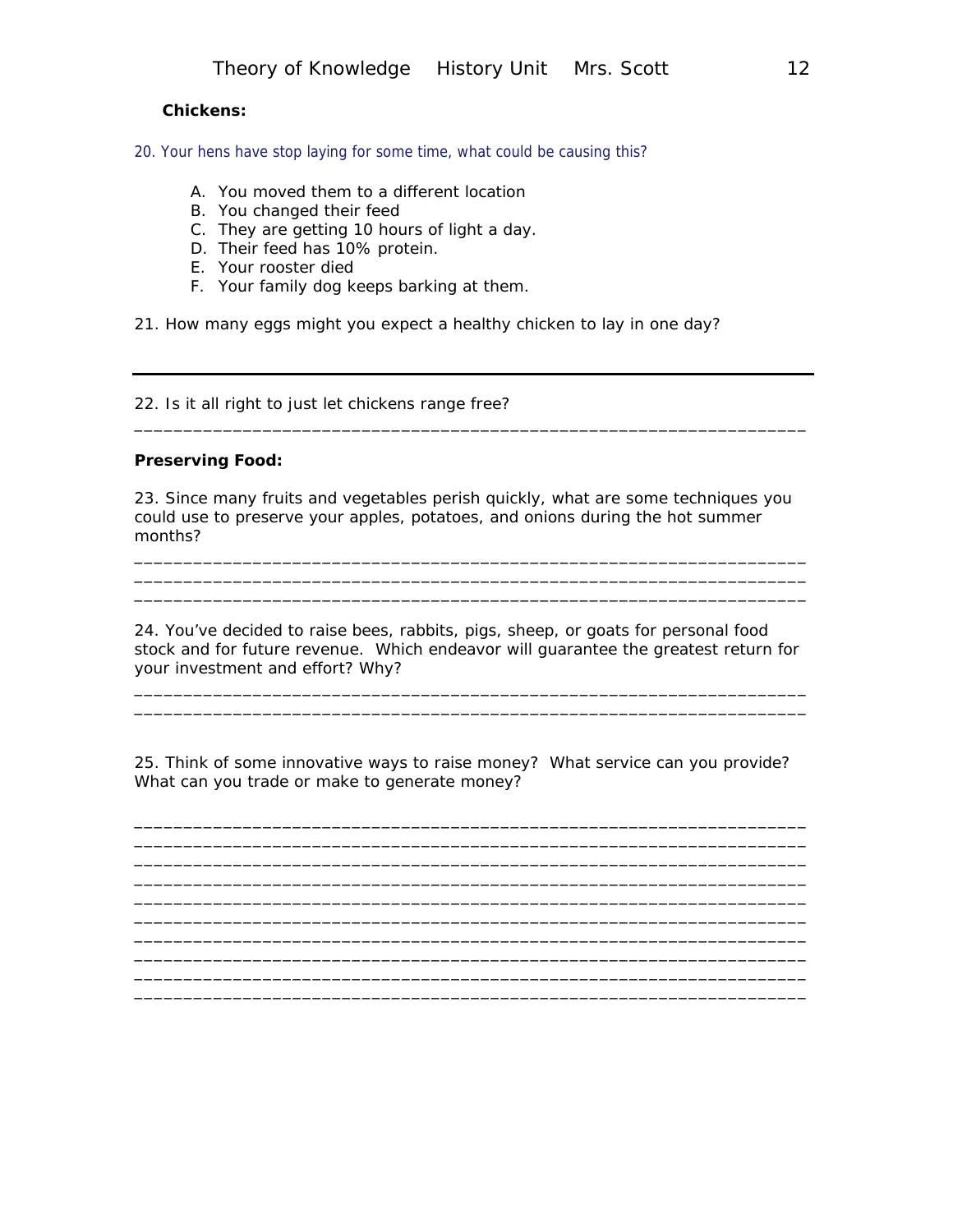#### **Chickens:**

20. Your hens have stop laying for some time, what could be causing this?

- A. You moved them to a different location
- B. You changed their feed
- C. They are getting 10 hours of light a day.
- D. Their feed has 10% protein.
- E. Your rooster died
- F. Your family dog keeps barking at them.

21. How many eggs might you expect a healthy chicken to lay in one day?

22. Is it all right to just let chickens range free?

#### **Preserving Food:**

23. Since many fruits and vegetables perish quickly, what are some techniques you could use to preserve your apples, potatoes, and onions during the hot summer months?

\_\_\_\_\_\_\_\_\_\_\_\_\_\_\_\_\_\_\_\_\_\_\_\_\_\_\_\_\_\_\_\_\_\_\_\_\_\_\_\_\_\_\_\_\_\_\_\_\_\_\_\_\_\_\_\_\_\_\_\_\_\_\_\_\_\_\_\_ \_\_\_\_\_\_\_\_\_\_\_\_\_\_\_\_\_\_\_\_\_\_\_\_\_\_\_\_\_\_\_\_\_\_\_\_\_\_\_\_\_\_\_\_\_\_\_\_\_\_\_\_\_\_\_\_\_\_\_\_\_\_\_\_\_\_\_\_ \_\_\_\_\_\_\_\_\_\_\_\_\_\_\_\_\_\_\_\_\_\_\_\_\_\_\_\_\_\_\_\_\_\_\_\_\_\_\_\_\_\_\_\_\_\_\_\_\_\_\_\_\_\_\_\_\_\_\_\_\_\_\_\_\_\_\_\_

\_\_\_\_\_\_\_\_\_\_\_\_\_\_\_\_\_\_\_\_\_\_\_\_\_\_\_\_\_\_\_\_\_\_\_\_\_\_\_\_\_\_\_\_\_\_\_\_\_\_\_\_\_\_\_\_\_\_\_\_\_\_\_\_\_\_\_\_

24. You've decided to raise bees, rabbits, pigs, sheep, or goats for personal food stock and for future revenue. Which endeavor will guarantee the greatest return for your investment and effort? Why?

\_\_\_\_\_\_\_\_\_\_\_\_\_\_\_\_\_\_\_\_\_\_\_\_\_\_\_\_\_\_\_\_\_\_\_\_\_\_\_\_\_\_\_\_\_\_\_\_\_\_\_\_\_\_\_\_\_\_\_\_\_\_\_\_\_\_\_\_ \_\_\_\_\_\_\_\_\_\_\_\_\_\_\_\_\_\_\_\_\_\_\_\_\_\_\_\_\_\_\_\_\_\_\_\_\_\_\_\_\_\_\_\_\_\_\_\_\_\_\_\_\_\_\_\_\_\_\_\_\_\_\_\_\_\_\_\_

25. Think of some innovative ways to raise money? What service can you provide? What can you trade or make to generate money?

\_\_\_\_\_\_\_\_\_\_\_\_\_\_\_\_\_\_\_\_\_\_\_\_\_\_\_\_\_\_\_\_\_\_\_\_\_\_\_\_\_\_\_\_\_\_\_\_\_\_\_\_\_\_\_\_\_\_\_\_\_\_\_\_\_\_\_\_

\_\_\_\_\_\_\_\_\_\_\_\_\_\_\_\_\_\_\_\_\_\_\_\_\_\_\_\_\_\_\_\_\_\_\_\_\_\_\_\_\_\_\_\_\_\_\_\_\_\_\_\_\_\_\_\_\_\_\_\_\_\_\_\_\_\_\_\_ \_\_\_\_\_\_\_\_\_\_\_\_\_\_\_\_\_\_\_\_\_\_\_\_\_\_\_\_\_\_\_\_\_\_\_\_\_\_\_\_\_\_\_\_\_\_\_\_\_\_\_\_\_\_\_\_\_\_\_\_\_\_\_\_\_\_\_\_

\_\_\_\_\_\_\_\_\_\_\_\_\_\_\_\_\_\_\_\_\_\_\_\_\_\_\_\_\_\_\_\_\_\_\_\_\_\_\_\_\_\_\_\_\_\_\_\_\_\_\_\_\_\_\_\_\_\_\_\_\_\_\_\_\_\_\_\_ \_\_\_\_\_\_\_\_\_\_\_\_\_\_\_\_\_\_\_\_\_\_\_\_\_\_\_\_\_\_\_\_\_\_\_\_\_\_\_\_\_\_\_\_\_\_\_\_\_\_\_\_\_\_\_\_\_\_\_\_\_\_\_\_\_\_\_\_ \_\_\_\_\_\_\_\_\_\_\_\_\_\_\_\_\_\_\_\_\_\_\_\_\_\_\_\_\_\_\_\_\_\_\_\_\_\_\_\_\_\_\_\_\_\_\_\_\_\_\_\_\_\_\_\_\_\_\_\_\_\_\_\_\_\_\_\_

 $\overline{\phantom{a}}$  , and the contribution of the contribution of the contribution of the contribution of the contribution of the contribution of the contribution of the contribution of the contribution of the contribution of the

\_\_\_\_\_\_\_\_\_\_\_\_\_\_\_\_\_\_\_\_\_\_\_\_\_\_\_\_\_\_\_\_\_\_\_\_\_\_\_\_\_\_\_\_\_\_\_\_\_\_\_\_\_\_\_\_\_\_\_\_\_\_\_\_\_\_\_\_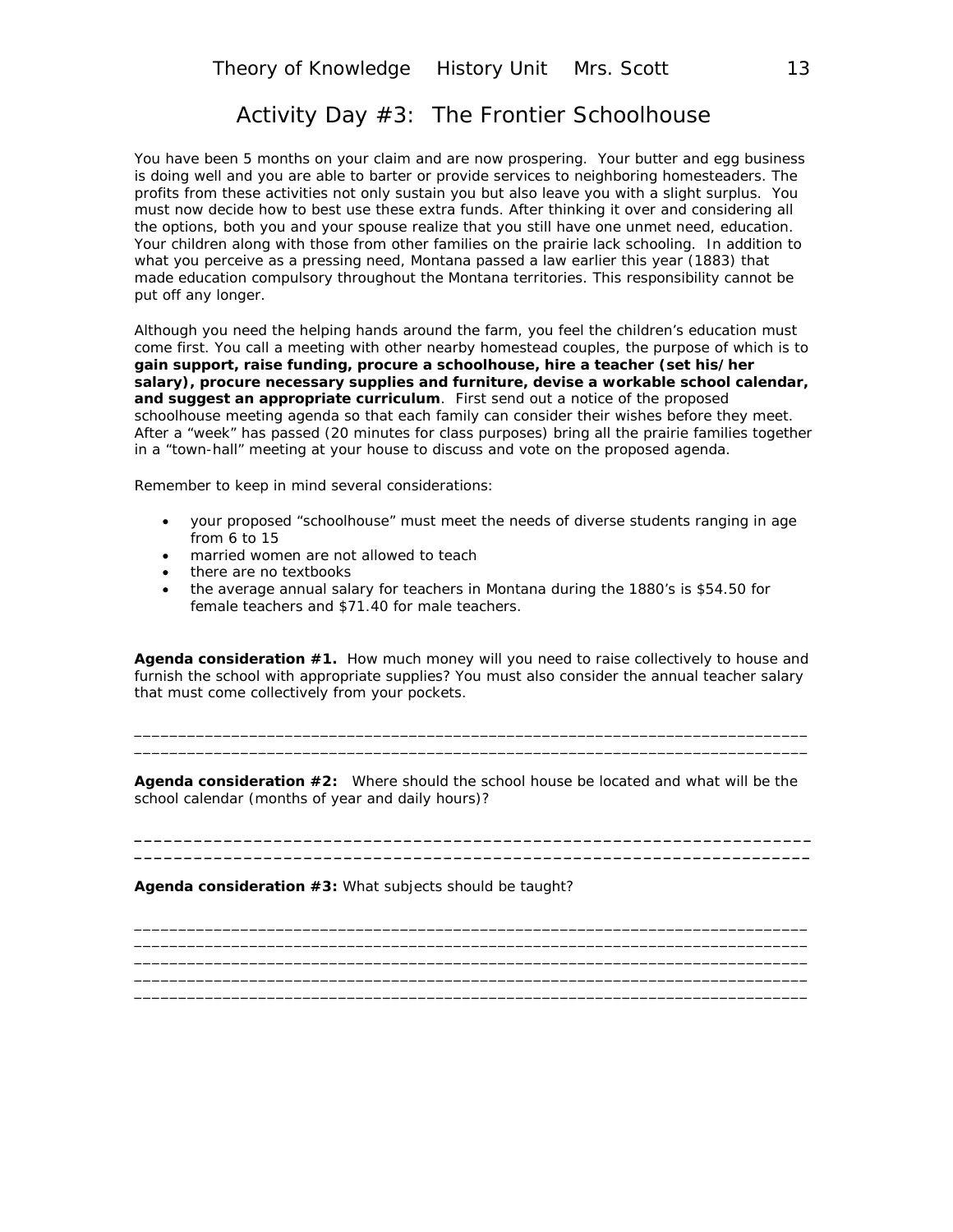# Activity Day #3: The Frontier Schoolhouse

You have been 5 months on your claim and are now prospering. Your butter and egg business is doing well and you are able to barter or provide services to neighboring homesteaders. The profits from these activities not only sustain you but also leave you with a slight surplus. You must now decide how to best use these extra funds. After thinking it over and considering all the options, both you and your spouse realize that you still have one unmet need, education. Your children along with those from other families on the prairie lack schooling. In addition to what you perceive as a pressing need, Montana passed a law earlier this year (1883) that made education compulsory throughout the Montana territories. This responsibility cannot be put off any longer.

Although you need the helping hands around the farm, you feel the children's education must come first. You call a meeting with other nearby homestead couples, the purpose of which is to **gain support, raise funding, procure a schoolhouse, hire a teacher (set his/her salary), procure necessary supplies and furniture, devise a workable school calendar, and suggest an appropriate curriculum**. First send out a notice of the proposed schoolhouse meeting agenda so that each family can consider their wishes before they meet. After a "week" has passed (20 minutes for class purposes) bring all the prairie families together in a "town-hall" meeting at your house to discuss and vote on the proposed agenda.

Remember to keep in mind several considerations:

- your proposed "schoolhouse" must meet the needs of diverse students ranging in age from 6 to 15
- married women are not allowed to teach
- there are no textbooks
- the average annual salary for teachers in Montana during the 1880's is \$54.50 for female teachers and \$71.40 for male teachers.

**Agenda consideration #1.** How much money will you need to raise collectively to house and furnish the school with appropriate supplies? You must also consider the annual teacher salary that must come collectively from your pockets.

\_\_\_\_\_\_\_\_\_\_\_\_\_\_\_\_\_\_\_\_\_\_\_\_\_\_\_\_\_\_\_\_\_\_\_\_\_\_\_\_\_\_\_\_\_\_\_\_\_\_\_\_\_\_\_\_\_\_\_\_\_\_\_\_\_\_\_\_\_\_\_\_\_\_\_\_ \_\_\_\_\_\_\_\_\_\_\_\_\_\_\_\_\_\_\_\_\_\_\_\_\_\_\_\_\_\_\_\_\_\_\_\_\_\_\_\_\_\_\_\_\_\_\_\_\_\_\_\_\_\_\_\_\_\_\_\_\_\_\_\_\_\_\_\_\_\_\_\_\_\_\_\_

**Agenda consideration #2:** Where should the school house be located and what will be the school calendar (months of year and daily hours)?

**\_\_\_\_\_\_\_\_\_\_\_\_\_\_\_\_\_\_\_\_\_\_\_\_\_\_\_\_\_\_\_\_\_\_\_\_\_\_\_\_\_\_\_\_\_\_\_\_\_\_\_\_\_\_\_\_\_\_\_\_\_\_\_\_\_\_\_\_ \_\_\_\_\_\_\_\_\_\_\_\_\_\_\_\_\_\_\_\_\_\_\_\_\_\_\_\_\_\_\_\_\_\_\_\_\_\_\_\_\_\_\_\_\_\_\_\_\_\_\_\_\_\_\_\_\_\_\_\_\_\_\_\_\_\_\_\_**

\_\_\_\_\_\_\_\_\_\_\_\_\_\_\_\_\_\_\_\_\_\_\_\_\_\_\_\_\_\_\_\_\_\_\_\_\_\_\_\_\_\_\_\_\_\_\_\_\_\_\_\_\_\_\_\_\_\_\_\_\_\_\_\_\_\_\_\_\_\_\_\_\_\_\_\_ \_\_\_\_\_\_\_\_\_\_\_\_\_\_\_\_\_\_\_\_\_\_\_\_\_\_\_\_\_\_\_\_\_\_\_\_\_\_\_\_\_\_\_\_\_\_\_\_\_\_\_\_\_\_\_\_\_\_\_\_\_\_\_\_\_\_\_\_\_\_\_\_\_\_\_\_ \_\_\_\_\_\_\_\_\_\_\_\_\_\_\_\_\_\_\_\_\_\_\_\_\_\_\_\_\_\_\_\_\_\_\_\_\_\_\_\_\_\_\_\_\_\_\_\_\_\_\_\_\_\_\_\_\_\_\_\_\_\_\_\_\_\_\_\_\_\_\_\_\_\_\_\_ \_\_\_\_\_\_\_\_\_\_\_\_\_\_\_\_\_\_\_\_\_\_\_\_\_\_\_\_\_\_\_\_\_\_\_\_\_\_\_\_\_\_\_\_\_\_\_\_\_\_\_\_\_\_\_\_\_\_\_\_\_\_\_\_\_\_\_\_\_\_\_\_\_\_\_\_ \_\_\_\_\_\_\_\_\_\_\_\_\_\_\_\_\_\_\_\_\_\_\_\_\_\_\_\_\_\_\_\_\_\_\_\_\_\_\_\_\_\_\_\_\_\_\_\_\_\_\_\_\_\_\_\_\_\_\_\_\_\_\_\_\_\_\_\_\_\_\_\_\_\_\_\_

**Agenda consideration #3:** What subjects should be taught?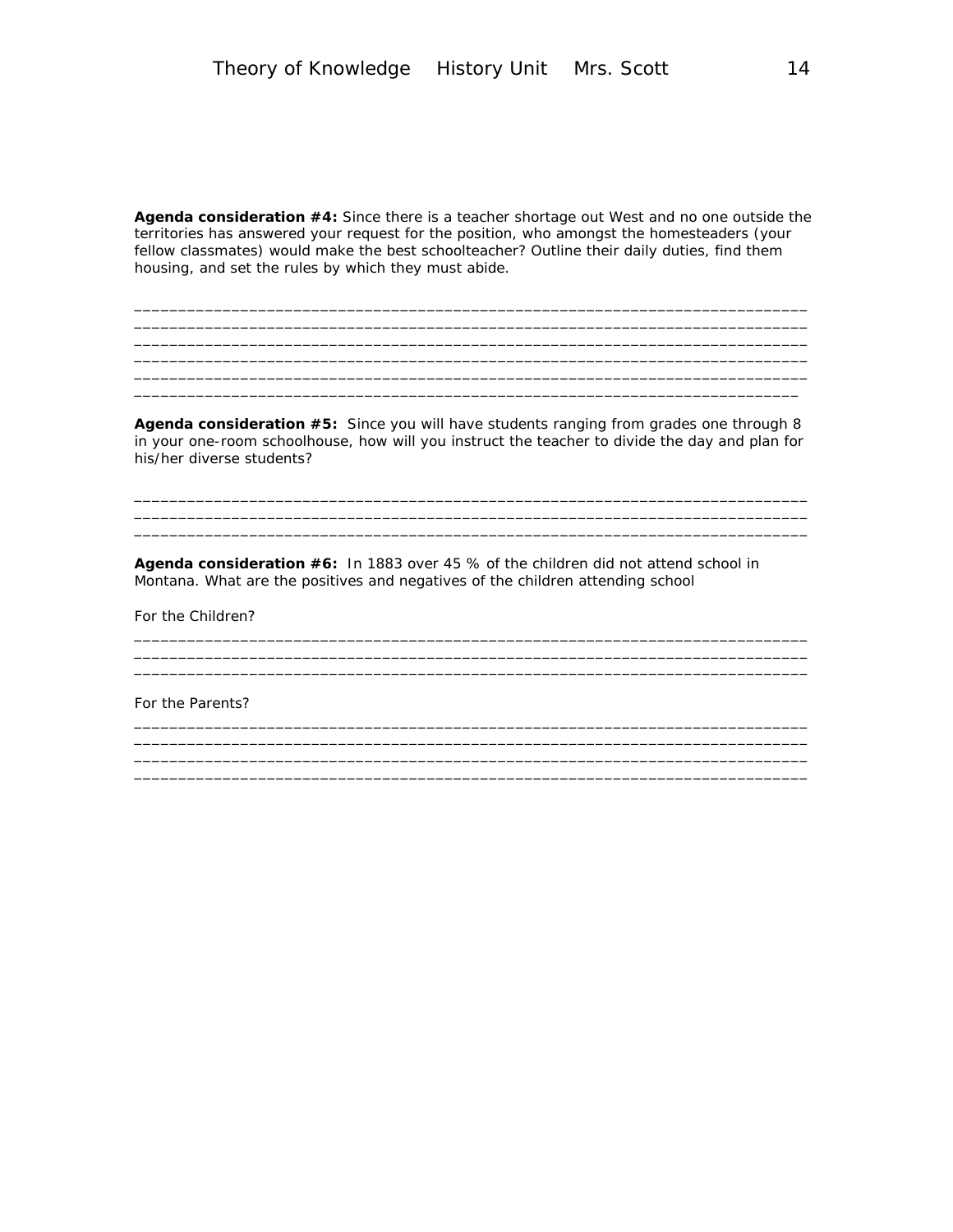**Agenda consideration #4:** Since there is a teacher shortage out West and no one outside the territories has answered your request for the position, who amongst the homesteaders (your fellow classmates) would make the best schoolteacher? Outline their daily duties, find them housing, and set the rules by which they must abide.

\_\_\_\_\_\_\_\_\_\_\_\_\_\_\_\_\_\_\_\_\_\_\_\_\_\_\_\_\_\_\_\_\_\_\_\_\_\_\_\_\_\_\_\_\_\_\_\_\_\_\_\_\_\_\_\_\_\_\_\_\_\_\_\_\_\_\_\_\_\_\_\_\_\_\_\_ \_\_\_\_\_\_\_\_\_\_\_\_\_\_\_\_\_\_\_\_\_\_\_\_\_\_\_\_\_\_\_\_\_\_\_\_\_\_\_\_\_\_\_\_\_\_\_\_\_\_\_\_\_\_\_\_\_\_\_\_\_\_\_\_\_\_\_\_\_\_\_\_\_\_\_\_ \_\_\_\_\_\_\_\_\_\_\_\_\_\_\_\_\_\_\_\_\_\_\_\_\_\_\_\_\_\_\_\_\_\_\_\_\_\_\_\_\_\_\_\_\_\_\_\_\_\_\_\_\_\_\_\_\_\_\_\_\_\_\_\_\_\_\_\_\_\_\_\_\_\_\_\_ \_\_\_\_\_\_\_\_\_\_\_\_\_\_\_\_\_\_\_\_\_\_\_\_\_\_\_\_\_\_\_\_\_\_\_\_\_\_\_\_\_\_\_\_\_\_\_\_\_\_\_\_\_\_\_\_\_\_\_\_\_\_\_\_\_\_\_\_\_\_\_\_\_\_\_\_

\_\_\_\_\_\_\_\_\_\_\_\_\_\_\_\_\_\_\_\_\_\_\_\_\_\_\_\_\_\_\_\_\_\_\_\_\_\_\_\_\_\_\_\_\_\_\_\_\_\_\_\_\_\_\_\_\_\_\_\_\_\_\_\_\_\_\_\_\_\_\_\_\_\_\_\_

**Agenda consideration #5:** Since you will have students ranging from grades one through 8 in your one-room schoolhouse, how will you instruct the teacher to divide the day and plan for his/her diverse students?

\_\_\_\_\_\_\_\_\_\_\_\_\_\_\_\_\_\_\_\_\_\_\_\_\_\_\_\_\_\_\_\_\_\_\_\_\_\_\_\_\_\_\_\_\_\_\_\_\_\_\_\_\_\_\_\_\_\_\_\_\_\_\_\_\_\_\_\_\_\_\_\_\_\_\_\_ \_\_\_\_\_\_\_\_\_\_\_\_\_\_\_\_\_\_\_\_\_\_\_\_\_\_\_\_\_\_\_\_\_\_\_\_\_\_\_\_\_\_\_\_\_\_\_\_\_\_\_\_\_\_\_\_\_\_\_\_\_\_\_\_\_\_\_\_\_\_\_\_\_\_\_\_  $\_$  , and the set of the set of the set of the set of the set of the set of the set of the set of the set of the set of the set of the set of the set of the set of the set of the set of the set of the set of the set of th

\_\_\_\_\_\_\_\_\_\_\_\_\_\_\_\_\_\_\_\_\_\_\_\_\_\_\_\_\_\_\_\_\_\_\_\_\_\_\_\_\_\_\_\_\_\_\_\_\_\_\_\_\_\_\_\_\_\_\_\_\_\_\_\_\_\_\_\_\_\_\_\_\_\_\_\_

\_\_\_\_\_\_\_\_\_\_\_\_\_\_\_\_\_\_\_\_\_\_\_\_\_\_\_\_\_\_\_\_\_\_\_\_\_\_\_\_\_\_\_\_\_\_\_\_\_\_\_\_\_\_\_\_\_\_\_\_\_\_\_\_\_\_\_\_\_\_\_\_\_\_\_\_

\_\_\_\_\_\_\_\_\_\_\_\_\_\_\_\_\_\_\_\_\_\_\_\_\_\_\_\_\_\_\_\_\_\_\_\_\_\_\_\_\_\_\_\_\_\_\_\_\_\_\_\_\_\_\_\_\_\_\_\_\_\_\_\_\_\_\_\_\_\_\_\_\_\_\_\_

\_\_\_\_\_\_\_\_\_\_\_\_\_\_\_\_\_\_\_\_\_\_\_\_\_\_\_\_\_\_\_\_\_\_\_\_\_\_\_\_\_\_\_\_\_\_\_\_\_\_\_\_\_\_\_\_\_\_\_\_\_\_\_\_\_\_\_\_\_\_\_\_\_\_\_\_

\_\_\_\_\_\_\_\_\_\_\_\_\_\_\_\_\_\_\_\_\_\_\_\_\_\_\_\_\_\_\_\_\_\_\_\_\_\_\_\_\_\_\_\_\_\_\_\_\_\_\_\_\_\_\_\_\_\_\_\_\_\_\_\_\_\_\_\_\_\_\_\_\_\_\_\_  $\mathcal{L}_\mathcal{L} = \mathcal{L}_\mathcal{L} = \mathcal{L}_\mathcal{L} = \mathcal{L}_\mathcal{L} = \mathcal{L}_\mathcal{L} = \mathcal{L}_\mathcal{L} = \mathcal{L}_\mathcal{L} = \mathcal{L}_\mathcal{L} = \mathcal{L}_\mathcal{L} = \mathcal{L}_\mathcal{L} = \mathcal{L}_\mathcal{L} = \mathcal{L}_\mathcal{L} = \mathcal{L}_\mathcal{L} = \mathcal{L}_\mathcal{L} = \mathcal{L}_\mathcal{L} = \mathcal{L}_\mathcal{L} = \mathcal{L}_\mathcal{L}$ \_\_\_\_\_\_\_\_\_\_\_\_\_\_\_\_\_\_\_\_\_\_\_\_\_\_\_\_\_\_\_\_\_\_\_\_\_\_\_\_\_\_\_\_\_\_\_\_\_\_\_\_\_\_\_\_\_\_\_\_\_\_\_\_\_\_\_\_\_\_\_\_\_\_\_\_

\_\_\_\_\_\_\_\_\_\_\_\_\_\_\_\_\_\_\_\_\_\_\_\_\_\_\_\_\_\_\_\_\_\_\_\_\_\_\_\_\_\_\_\_\_\_\_\_\_\_\_\_\_\_\_\_\_\_\_\_\_\_\_\_\_\_\_\_\_\_\_\_\_\_\_

**Agenda consideration #6:** In 1883 over 45 % of the children did not attend school in Montana. What are the positives and negatives of the children attending school

For the Children?

For the Parents?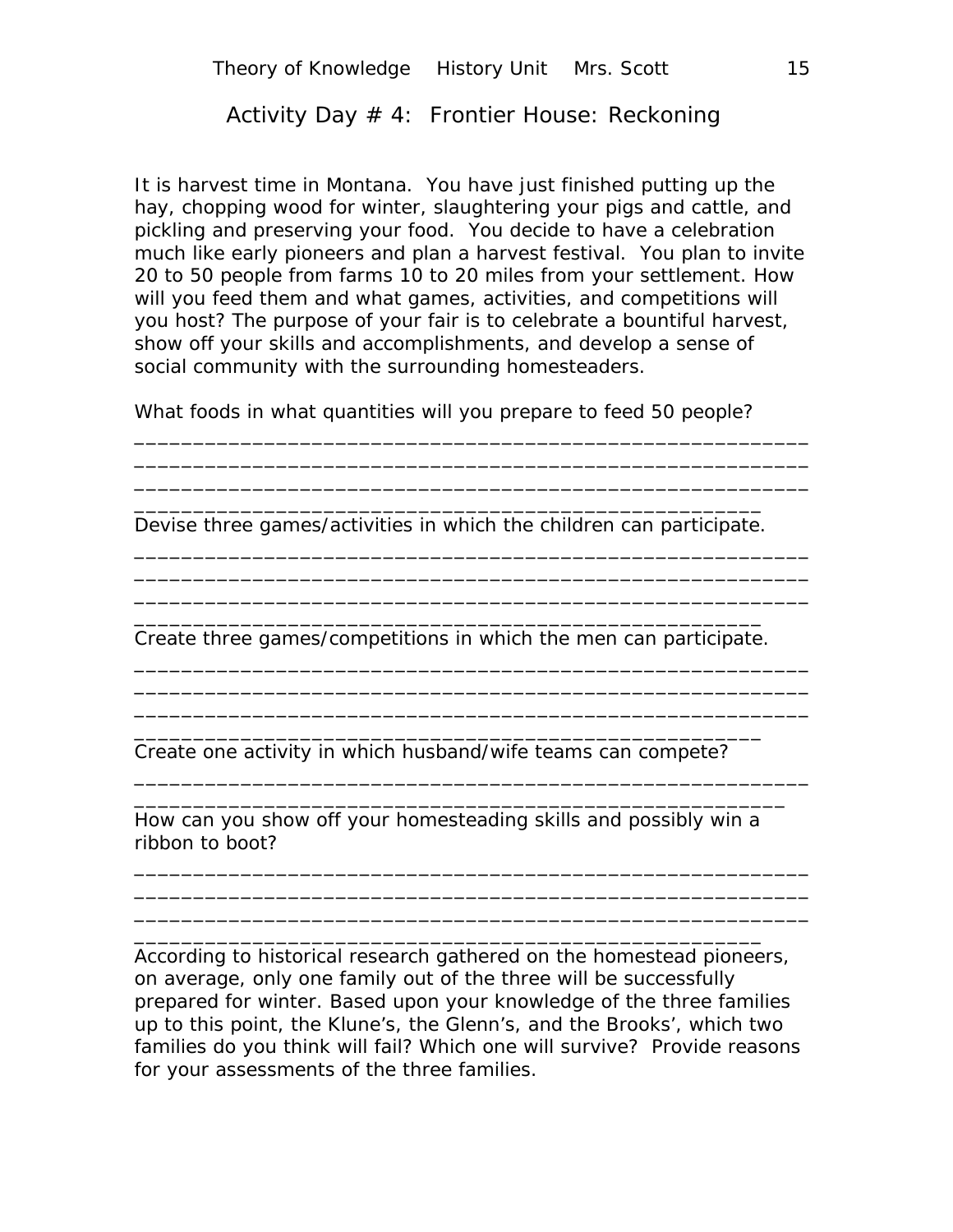# Activity Day # 4: Frontier House: Reckoning

It is harvest time in Montana. You have just finished putting up the hay, chopping wood for winter, slaughtering your pigs and cattle, and pickling and preserving your food. You decide to have a celebration much like early pioneers and plan a harvest festival. You plan to invite 20 to 50 people from farms 10 to 20 miles from your settlement. How will you feed them and what games, activities, and competitions will you host? The purpose of your fair is to celebrate a bountiful harvest, show off your skills and accomplishments, and develop a sense of social community with the surrounding homesteaders.

What foods in what quantities will you prepare to feed 50 people?

\_\_\_\_\_\_\_\_\_\_\_\_\_\_\_\_\_\_\_\_\_\_\_\_\_\_\_\_\_\_\_\_\_\_\_\_\_\_\_\_\_\_\_\_\_\_\_\_\_\_\_\_\_\_\_\_\_ \_\_\_\_\_\_\_\_\_\_\_\_\_\_\_\_\_\_\_\_\_\_\_\_\_\_\_\_\_\_\_\_\_\_\_\_\_\_\_\_\_\_\_\_\_\_\_\_\_\_\_\_\_\_\_\_\_

\_\_\_\_\_\_\_\_\_\_\_\_\_\_\_\_\_\_\_\_\_\_\_\_\_\_\_\_\_\_\_\_\_\_\_\_\_\_\_\_\_\_\_\_\_\_\_\_\_\_\_\_\_\_\_\_\_ \_\_\_\_\_\_\_\_\_\_\_\_\_\_\_\_\_\_\_\_\_\_\_\_\_\_\_\_\_\_\_\_\_\_\_\_\_\_\_\_\_\_\_\_\_\_\_\_\_\_\_\_\_\_\_\_\_ \_\_\_\_\_\_\_\_\_\_\_\_\_\_\_\_\_\_\_\_\_\_\_\_\_\_\_\_\_\_\_\_\_\_\_\_\_\_\_\_\_\_\_\_\_\_\_\_\_\_\_\_\_\_\_\_\_

\_\_\_\_\_\_\_\_\_\_\_\_\_\_\_\_\_\_\_\_\_\_\_\_\_\_\_\_\_\_\_\_\_\_\_\_\_\_\_\_\_\_\_\_\_\_\_\_\_\_\_\_\_\_\_\_\_ \_\_\_\_\_\_\_\_\_\_\_\_\_\_\_\_\_\_\_\_\_\_\_\_\_\_\_\_\_\_\_\_\_\_\_\_\_\_\_\_\_\_\_\_\_\_\_\_\_\_\_\_\_\_\_\_\_ \_\_\_\_\_\_\_\_\_\_\_\_\_\_\_\_\_\_\_\_\_\_\_\_\_\_\_\_\_\_\_\_\_\_\_\_\_\_\_\_\_\_\_\_\_\_\_\_\_\_\_\_\_\_\_\_\_

\_\_\_\_\_\_\_\_\_\_\_\_\_\_\_\_\_\_\_\_\_\_\_\_\_\_\_\_\_\_\_\_\_\_\_\_\_\_\_\_\_\_\_\_\_\_\_\_\_\_\_\_\_\_\_\_\_ \_\_\_\_\_\_\_\_\_\_\_\_\_\_\_\_\_\_\_\_\_\_\_\_\_\_\_\_\_\_\_\_\_\_\_\_\_\_\_\_\_\_\_\_\_\_\_\_\_\_\_\_\_\_\_

\_\_\_\_\_\_\_\_\_\_\_\_\_\_\_\_\_\_\_\_\_\_\_\_\_\_\_\_\_\_\_\_\_\_\_\_\_\_\_\_\_\_\_\_\_\_\_\_\_\_\_\_\_\_\_\_\_ \_\_\_\_\_\_\_\_\_\_\_\_\_\_\_\_\_\_\_\_\_\_\_\_\_\_\_\_\_\_\_\_\_\_\_\_\_\_\_\_\_\_\_\_\_\_\_\_\_\_\_\_\_\_\_\_\_

\_\_\_\_\_\_\_\_\_\_\_\_\_\_\_\_\_\_\_\_\_\_\_\_\_\_\_\_\_\_\_\_\_\_\_\_\_\_\_\_\_\_\_\_\_\_\_\_\_\_\_\_\_\_\_\_\_

\_\_\_\_\_\_\_\_\_\_\_\_\_\_\_\_\_\_\_\_\_\_\_\_\_\_\_\_\_\_\_\_\_\_\_\_\_\_\_\_\_\_\_\_\_\_\_\_\_\_\_\_\_ Devise three games/activities in which the children can participate.

\_\_\_\_\_\_\_\_\_\_\_\_\_\_\_\_\_\_\_\_\_\_\_\_\_\_\_\_\_\_\_\_\_\_\_\_\_\_\_\_\_\_\_\_\_\_\_\_\_\_\_\_\_ Create three games/competitions in which the men can participate.

\_\_\_\_\_\_\_\_\_\_\_\_\_\_\_\_\_\_\_\_\_\_\_\_\_\_\_\_\_\_\_\_\_\_\_\_\_\_\_\_\_\_\_\_\_\_\_\_\_\_\_\_\_

Create one activity in which husband/wife teams can compete?

How can you show off your homesteading skills and possibly win a ribbon to boot?

\_\_\_\_\_\_\_\_\_\_\_\_\_\_\_\_\_\_\_\_\_\_\_\_\_\_\_\_\_\_\_\_\_\_\_\_\_\_\_\_\_\_\_\_\_\_\_\_\_\_\_\_\_

According to historical research gathered on the homestead pioneers, on average, only one family out of the three will be successfully prepared for winter. Based upon your knowledge of the three families up to this point, the Klune's, the Glenn's, and the Brooks', which two families do you think will fail? Which one will survive? Provide reasons for your assessments of the three families.